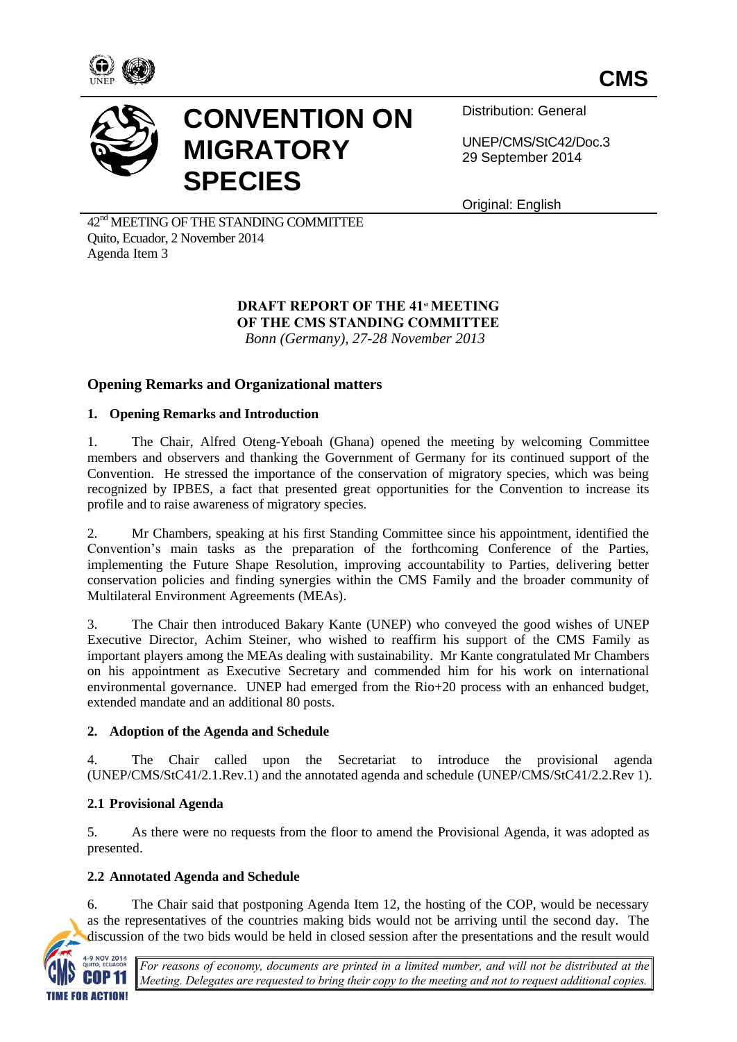



# **CONVENTION ON MIGRATORY SPECIES**

Distribution: General

UNEP/CMS/StC42/Doc.3 29 September 2014

Original: English

 $42<sup>nd</sup>$  MEETING OF THE STANDING COMMITTEE Quito, Ecuador, 2 November 2014 Agenda Item 3

### **DRAFT REPORT OF THE 41<sup>st</sup> MEETING OF THE CMS STANDING COMMITTEE**  *Bonn (Germany), 27-28 November 2013*

**Opening Remarks and Organizational matters**

### **1. Opening Remarks and Introduction**

1. The Chair, Alfred Oteng-Yeboah (Ghana) opened the meeting by welcoming Committee members and observers and thanking the Government of Germany for its continued support of the Convention. He stressed the importance of the conservation of migratory species, which was being recognized by IPBES, a fact that presented great opportunities for the Convention to increase its profile and to raise awareness of migratory species.

2. Mr Chambers, speaking at his first Standing Committee since his appointment, identified the Convention's main tasks as the preparation of the forthcoming Conference of the Parties, implementing the Future Shape Resolution, improving accountability to Parties, delivering better conservation policies and finding synergies within the CMS Family and the broader community of Multilateral Environment Agreements (MEAs).

3. The Chair then introduced Bakary Kante (UNEP) who conveyed the good wishes of UNEP Executive Director, Achim Steiner, who wished to reaffirm his support of the CMS Family as important players among the MEAs dealing with sustainability. Mr Kante congratulated Mr Chambers on his appointment as Executive Secretary and commended him for his work on international environmental governance. UNEP had emerged from the Rio+20 process with an enhanced budget, extended mandate and an additional 80 posts.

### **2. Adoption of the Agenda and Schedule**

4. The Chair called upon the Secretariat to introduce the provisional agenda (UNEP/CMS/StC41/2.1.Rev.1) and the annotated agenda and schedule (UNEP/CMS/StC41/2.2.Rev 1).

### **2.1 Provisional Agenda**

5. As there were no requests from the floor to amend the Provisional Agenda, it was adopted as presented.

### **2.2 Annotated Agenda and Schedule**

6. The Chair said that postponing Agenda Item 12, the hosting of the COP, would be necessary as the representatives of the countries making bids would not be arriving until the second day. The discussion of the two bids would be held in closed session after the presentations and the result would



*For reasons of economy, documents are printed in a limited number, and will not be distributed at the Meeting. Delegates are requested to bring their copy to the meeting and not to request additional copies.*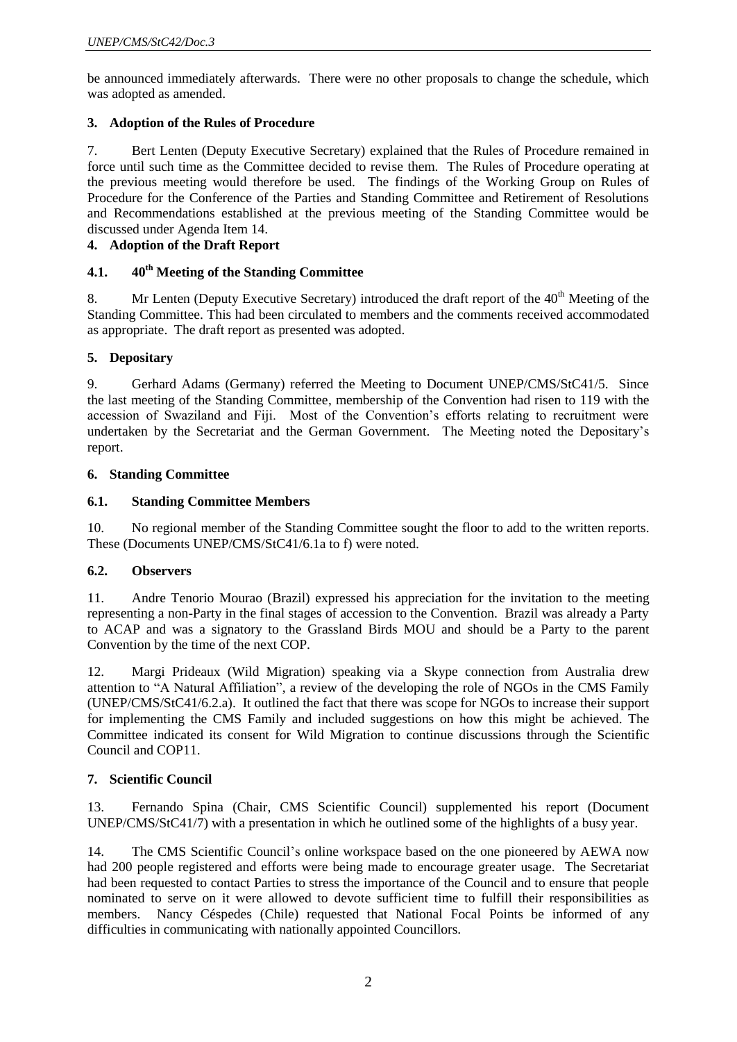be announced immediately afterwards. There were no other proposals to change the schedule, which was adopted as amended.

### **3. Adoption of the Rules of Procedure**

7. Bert Lenten (Deputy Executive Secretary) explained that the Rules of Procedure remained in force until such time as the Committee decided to revise them. The Rules of Procedure operating at the previous meeting would therefore be used. The findings of the Working Group on Rules of Procedure for the Conference of the Parties and Standing Committee and Retirement of Resolutions and Recommendations established at the previous meeting of the Standing Committee would be discussed under Agenda Item 14.

### **4. Adoption of the Draft Report**

### **4.1. 40th Meeting of the Standing Committee**

8. Mr Lenten (Deputy Executive Secretary) introduced the draft report of the  $40<sup>th</sup>$  Meeting of the Standing Committee. This had been circulated to members and the comments received accommodated as appropriate. The draft report as presented was adopted.

#### **5. Depositary**

9. Gerhard Adams (Germany) referred the Meeting to Document UNEP/CMS/StC41/5. Since the last meeting of the Standing Committee, membership of the Convention had risen to 119 with the accession of Swaziland and Fiji. Most of the Convention's efforts relating to recruitment were undertaken by the Secretariat and the German Government. The Meeting noted the Depositary's report.

#### **6. Standing Committee**

### **6.1. Standing Committee Members**

10. No regional member of the Standing Committee sought the floor to add to the written reports. These (Documents UNEP/CMS/StC41/6.1a to f) were noted.

#### **6.2. Observers**

11. Andre Tenorio Mourao (Brazil) expressed his appreciation for the invitation to the meeting representing a non-Party in the final stages of accession to the Convention. Brazil was already a Party to ACAP and was a signatory to the Grassland Birds MOU and should be a Party to the parent Convention by the time of the next COP.

12. Margi Prideaux (Wild Migration) speaking via a Skype connection from Australia drew attention to "A Natural Affiliation", a review of the developing the role of NGOs in the CMS Family (UNEP/CMS/StC41/6.2.a). It outlined the fact that there was scope for NGOs to increase their support for implementing the CMS Family and included suggestions on how this might be achieved. The Committee indicated its consent for Wild Migration to continue discussions through the Scientific Council and COP11.

#### **7. Scientific Council**

13. Fernando Spina (Chair, CMS Scientific Council) supplemented his report (Document UNEP/CMS/StC41/7) with a presentation in which he outlined some of the highlights of a busy year.

14. The CMS Scientific Council's online workspace based on the one pioneered by AEWA now had 200 people registered and efforts were being made to encourage greater usage. The Secretariat had been requested to contact Parties to stress the importance of the Council and to ensure that people nominated to serve on it were allowed to devote sufficient time to fulfill their responsibilities as members. Nancy Céspedes (Chile) requested that National Focal Points be informed of any difficulties in communicating with nationally appointed Councillors.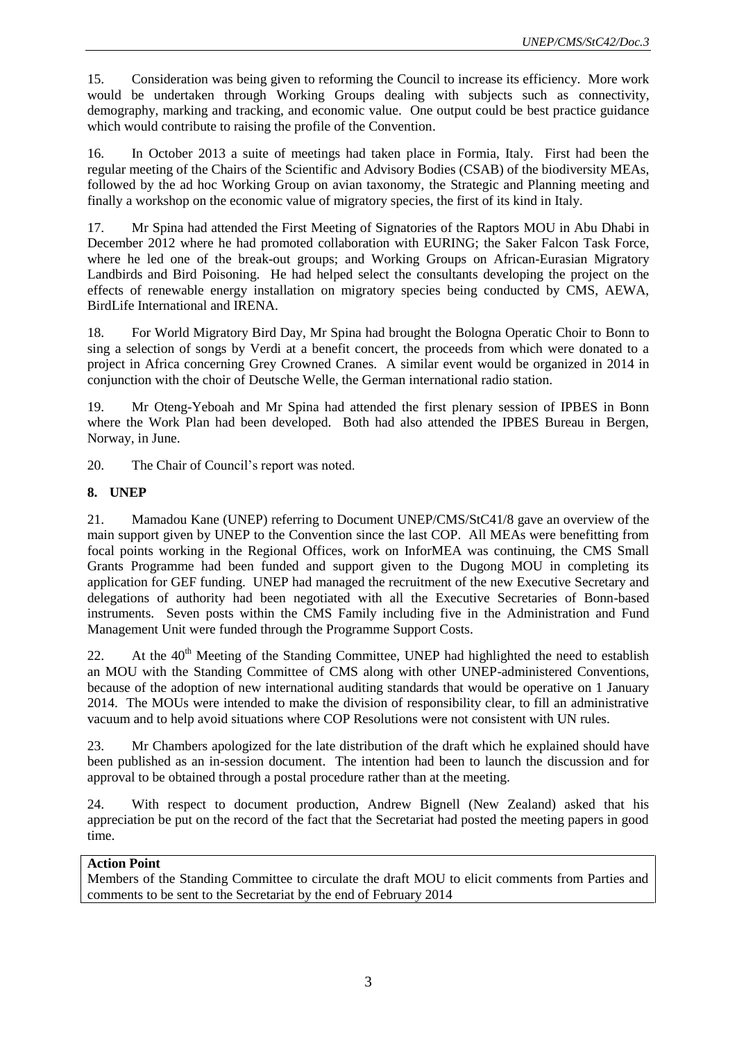15. Consideration was being given to reforming the Council to increase its efficiency. More work would be undertaken through Working Groups dealing with subjects such as connectivity, demography, marking and tracking, and economic value. One output could be best practice guidance which would contribute to raising the profile of the Convention.

16. In October 2013 a suite of meetings had taken place in Formia, Italy. First had been the regular meeting of the Chairs of the Scientific and Advisory Bodies (CSAB) of the biodiversity MEAs, followed by the ad hoc Working Group on avian taxonomy, the Strategic and Planning meeting and finally a workshop on the economic value of migratory species, the first of its kind in Italy.

17. Mr Spina had attended the First Meeting of Signatories of the Raptors MOU in Abu Dhabi in December 2012 where he had promoted collaboration with EURING; the Saker Falcon Task Force, where he led one of the break-out groups; and Working Groups on African-Eurasian Migratory Landbirds and Bird Poisoning. He had helped select the consultants developing the project on the effects of renewable energy installation on migratory species being conducted by CMS, AEWA, BirdLife International and IRENA.

18. For World Migratory Bird Day, Mr Spina had brought the Bologna Operatic Choir to Bonn to sing a selection of songs by Verdi at a benefit concert, the proceeds from which were donated to a project in Africa concerning Grey Crowned Cranes. A similar event would be organized in 2014 in conjunction with the choir of Deutsche Welle, the German international radio station.

19. Mr Oteng-Yeboah and Mr Spina had attended the first plenary session of IPBES in Bonn where the Work Plan had been developed. Both had also attended the IPBES Bureau in Bergen, Norway, in June.

20. The Chair of Council's report was noted.

### **8. UNEP**

21. Mamadou Kane (UNEP) referring to Document UNEP/CMS/StC41/8 gave an overview of the main support given by UNEP to the Convention since the last COP. All MEAs were benefitting from focal points working in the Regional Offices, work on InforMEA was continuing, the CMS Small Grants Programme had been funded and support given to the Dugong MOU in completing its application for GEF funding. UNEP had managed the recruitment of the new Executive Secretary and delegations of authority had been negotiated with all the Executive Secretaries of Bonn-based instruments. Seven posts within the CMS Family including five in the Administration and Fund Management Unit were funded through the Programme Support Costs.

22. At the  $40<sup>th</sup>$  Meeting of the Standing Committee, UNEP had highlighted the need to establish an MOU with the Standing Committee of CMS along with other UNEP-administered Conventions, because of the adoption of new international auditing standards that would be operative on 1 January 2014. The MOUs were intended to make the division of responsibility clear, to fill an administrative vacuum and to help avoid situations where COP Resolutions were not consistent with UN rules.

23. Mr Chambers apologized for the late distribution of the draft which he explained should have been published as an in-session document. The intention had been to launch the discussion and for approval to be obtained through a postal procedure rather than at the meeting.

24. With respect to document production, Andrew Bignell (New Zealand) asked that his appreciation be put on the record of the fact that the Secretariat had posted the meeting papers in good time.

### **Action Point**

Members of the Standing Committee to circulate the draft MOU to elicit comments from Parties and comments to be sent to the Secretariat by the end of February 2014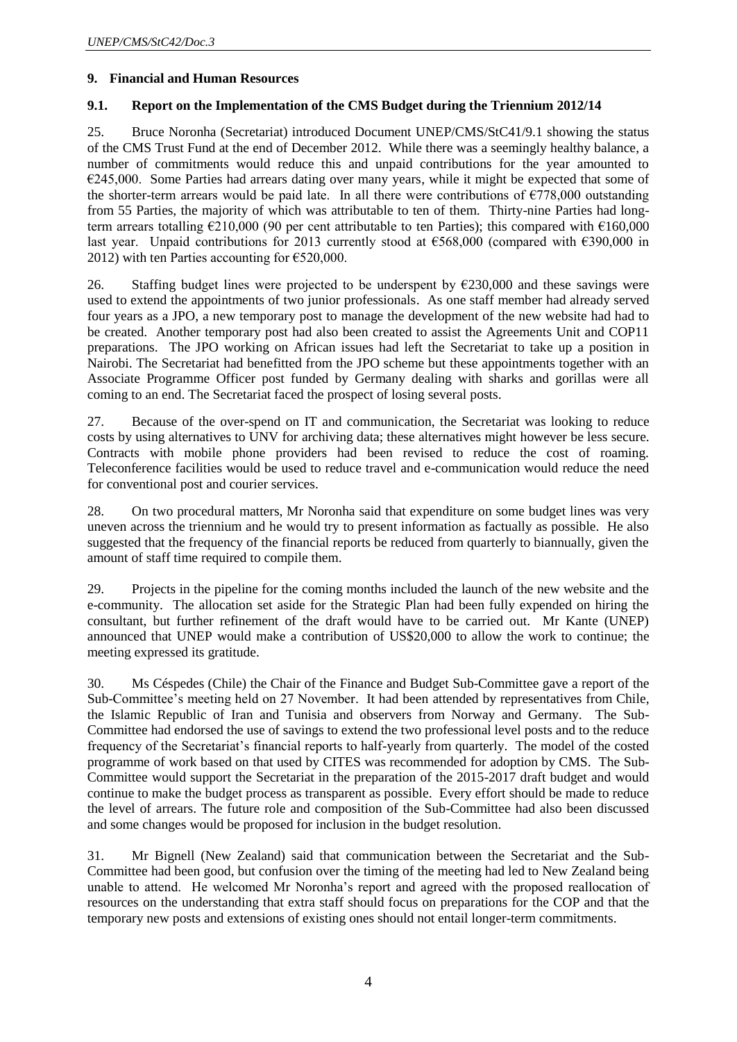#### **9. Financial and Human Resources**

### **9.1. Report on the Implementation of the CMS Budget during the Triennium 2012/14**

25. Bruce Noronha (Secretariat) introduced Document UNEP/CMS/StC41/9.1 showing the status of the CMS Trust Fund at the end of December 2012. While there was a seemingly healthy balance, a number of commitments would reduce this and unpaid contributions for the year amounted to  $€245,000$ . Some Parties had arrears dating over many years, while it might be expected that some of the shorter-term arrears would be paid late. In all there were contributions of  $\epsilon$ 778,000 outstanding from 55 Parties, the majority of which was attributable to ten of them. Thirty-nine Parties had longterm arrears totalling €210,000 (90 per cent attributable to ten Parties); this compared with €160,000 last year. Unpaid contributions for 2013 currently stood at  $\epsilon$ 568,000 (compared with  $\epsilon$ 390,000 in 2012) with ten Parties accounting for  $\epsilon$ 520,000.

26. Staffing budget lines were projected to be underspent by  $\epsilon$ 230,000 and these savings were used to extend the appointments of two junior professionals. As one staff member had already served four years as a JPO, a new temporary post to manage the development of the new website had had to be created. Another temporary post had also been created to assist the Agreements Unit and COP11 preparations. The JPO working on African issues had left the Secretariat to take up a position in Nairobi. The Secretariat had benefitted from the JPO scheme but these appointments together with an Associate Programme Officer post funded by Germany dealing with sharks and gorillas were all coming to an end. The Secretariat faced the prospect of losing several posts.

27. Because of the over-spend on IT and communication, the Secretariat was looking to reduce costs by using alternatives to UNV for archiving data; these alternatives might however be less secure. Contracts with mobile phone providers had been revised to reduce the cost of roaming. Teleconference facilities would be used to reduce travel and e-communication would reduce the need for conventional post and courier services.

28. On two procedural matters, Mr Noronha said that expenditure on some budget lines was very uneven across the triennium and he would try to present information as factually as possible. He also suggested that the frequency of the financial reports be reduced from quarterly to biannually, given the amount of staff time required to compile them.

29. Projects in the pipeline for the coming months included the launch of the new website and the e-community. The allocation set aside for the Strategic Plan had been fully expended on hiring the consultant, but further refinement of the draft would have to be carried out. Mr Kante (UNEP) announced that UNEP would make a contribution of US\$20,000 to allow the work to continue; the meeting expressed its gratitude.

30. Ms Céspedes (Chile) the Chair of the Finance and Budget Sub-Committee gave a report of the Sub-Committee's meeting held on 27 November. It had been attended by representatives from Chile, the Islamic Republic of Iran and Tunisia and observers from Norway and Germany. The Sub-Committee had endorsed the use of savings to extend the two professional level posts and to the reduce frequency of the Secretariat's financial reports to half-yearly from quarterly. The model of the costed programme of work based on that used by CITES was recommended for adoption by CMS. The Sub-Committee would support the Secretariat in the preparation of the 2015-2017 draft budget and would continue to make the budget process as transparent as possible. Every effort should be made to reduce the level of arrears. The future role and composition of the Sub-Committee had also been discussed and some changes would be proposed for inclusion in the budget resolution.

31. Mr Bignell (New Zealand) said that communication between the Secretariat and the Sub-Committee had been good, but confusion over the timing of the meeting had led to New Zealand being unable to attend. He welcomed Mr Noronha's report and agreed with the proposed reallocation of resources on the understanding that extra staff should focus on preparations for the COP and that the temporary new posts and extensions of existing ones should not entail longer-term commitments.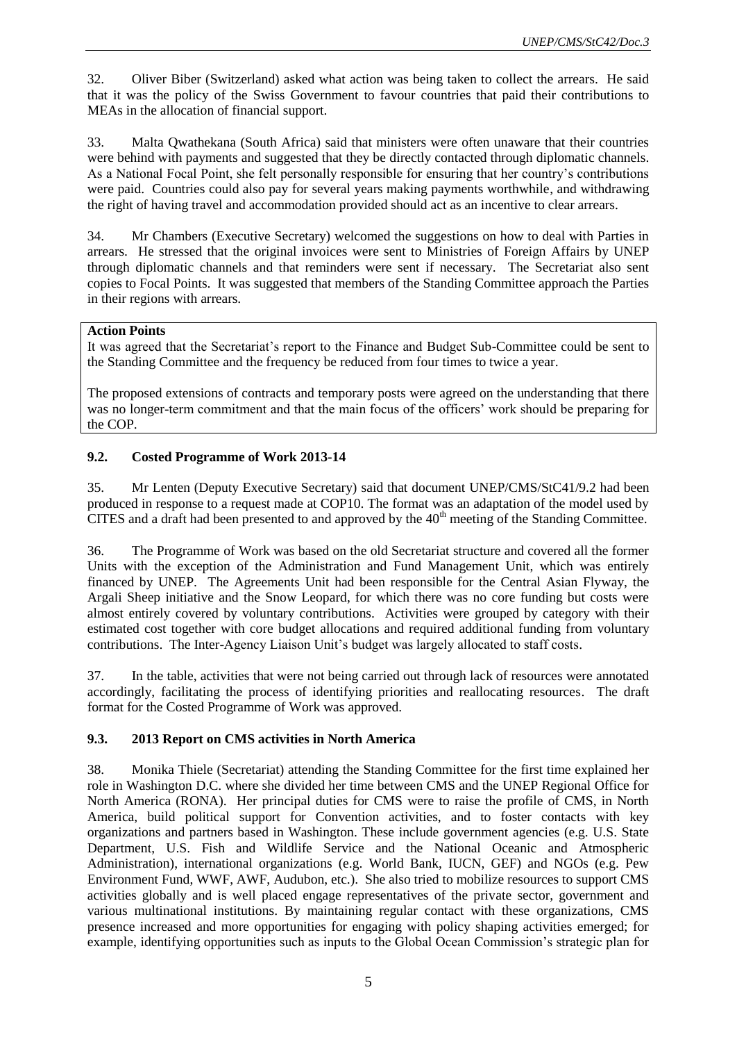32. Oliver Biber (Switzerland) asked what action was being taken to collect the arrears. He said that it was the policy of the Swiss Government to favour countries that paid their contributions to MEAs in the allocation of financial support.

33. Malta Qwathekana (South Africa) said that ministers were often unaware that their countries were behind with payments and suggested that they be directly contacted through diplomatic channels. As a National Focal Point, she felt personally responsible for ensuring that her country's contributions were paid. Countries could also pay for several years making payments worthwhile, and withdrawing the right of having travel and accommodation provided should act as an incentive to clear arrears.

34. Mr Chambers (Executive Secretary) welcomed the suggestions on how to deal with Parties in arrears. He stressed that the original invoices were sent to Ministries of Foreign Affairs by UNEP through diplomatic channels and that reminders were sent if necessary. The Secretariat also sent copies to Focal Points. It was suggested that members of the Standing Committee approach the Parties in their regions with arrears.

#### **Action Points**

It was agreed that the Secretariat's report to the Finance and Budget Sub-Committee could be sent to the Standing Committee and the frequency be reduced from four times to twice a year.

The proposed extensions of contracts and temporary posts were agreed on the understanding that there was no longer-term commitment and that the main focus of the officers' work should be preparing for the COP.

### **9.2. Costed Programme of Work 2013-14**

35. Mr Lenten (Deputy Executive Secretary) said that document UNEP/CMS/StC41/9.2 had been produced in response to a request made at COP10. The format was an adaptation of the model used by CITES and a draft had been presented to and approved by the  $40<sup>th</sup>$  meeting of the Standing Committee.

36. The Programme of Work was based on the old Secretariat structure and covered all the former Units with the exception of the Administration and Fund Management Unit, which was entirely financed by UNEP. The Agreements Unit had been responsible for the Central Asian Flyway, the Argali Sheep initiative and the Snow Leopard, for which there was no core funding but costs were almost entirely covered by voluntary contributions. Activities were grouped by category with their estimated cost together with core budget allocations and required additional funding from voluntary contributions. The Inter-Agency Liaison Unit's budget was largely allocated to staff costs.

37. In the table, activities that were not being carried out through lack of resources were annotated accordingly, facilitating the process of identifying priorities and reallocating resources. The draft format for the Costed Programme of Work was approved.

### **9.3. 2013 Report on CMS activities in North America**

38. Monika Thiele (Secretariat) attending the Standing Committee for the first time explained her role in Washington D.C. where she divided her time between CMS and the UNEP Regional Office for North America (RONA). Her principal duties for CMS were to raise the profile of CMS, in North America, build political support for Convention activities, and to foster contacts with key organizations and partners based in Washington. These include government agencies (e.g. U.S. State Department, U.S. Fish and Wildlife Service and the National Oceanic and Atmospheric Administration), international organizations (e.g. World Bank, IUCN, GEF) and NGOs (e.g. Pew Environment Fund, WWF, AWF, Audubon, etc.). She also tried to mobilize resources to support CMS activities globally and is well placed engage representatives of the private sector, government and various multinational institutions. By maintaining regular contact with these organizations, CMS presence increased and more opportunities for engaging with policy shaping activities emerged; for example, identifying opportunities such as inputs to the Global Ocean Commission's strategic plan for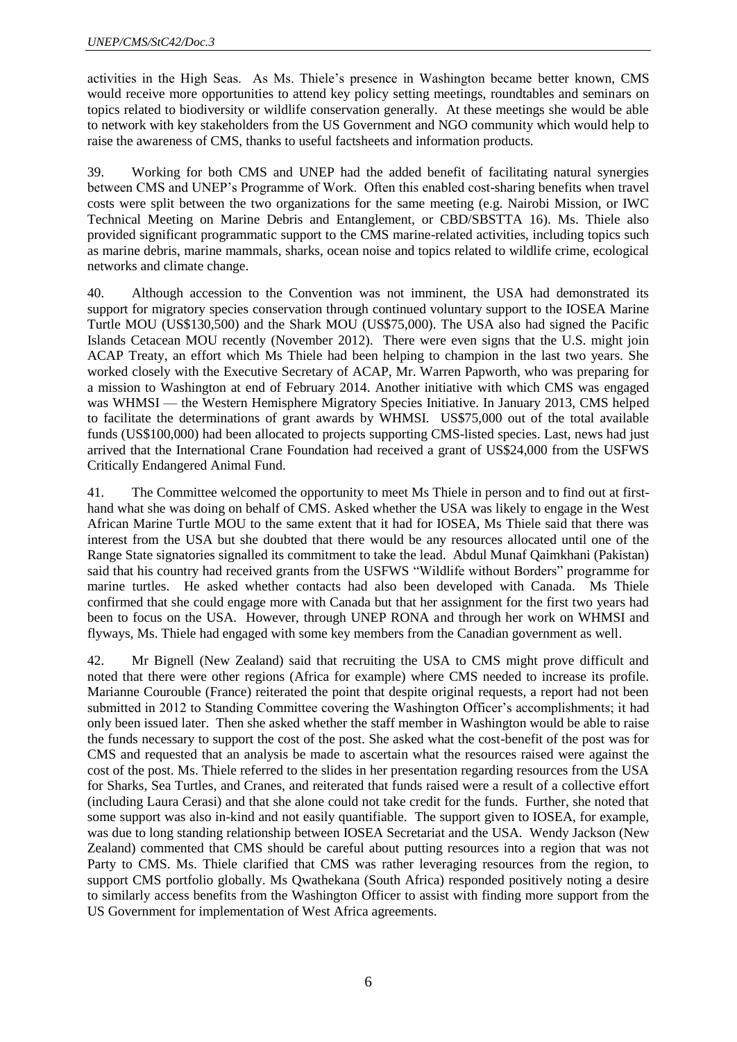activities in the High Seas. As Ms. Thiele's presence in Washington became better known, CMS would receive more opportunities to attend key policy setting meetings, roundtables and seminars on topics related to biodiversity or wildlife conservation generally. At these meetings she would be able to network with key stakeholders from the US Government and NGO community which would help to raise the awareness of CMS, thanks to useful factsheets and information products.

39. Working for both CMS and UNEP had the added benefit of facilitating natural synergies between CMS and UNEP's Programme of Work. Often this enabled cost-sharing benefits when travel costs were split between the two organizations for the same meeting (e.g. Nairobi Mission, or IWC Technical Meeting on Marine Debris and Entanglement, or CBD/SBSTTA 16). Ms. Thiele also provided significant programmatic support to the CMS marine-related activities, including topics such as marine debris, marine mammals, sharks, ocean noise and topics related to wildlife crime, ecological networks and climate change.

40. Although accession to the Convention was not imminent, the USA had demonstrated its support for migratory species conservation through continued voluntary support to the IOSEA Marine Turtle MOU (US\$130,500) and the Shark MOU (US\$75,000). The USA also had signed the Pacific Islands Cetacean MOU recently (November 2012). There were even signs that the U.S. might join ACAP Treaty, an effort which Ms Thiele had been helping to champion in the last two years. She worked closely with the Executive Secretary of ACAP, Mr. Warren Papworth, who was preparing for a mission to Washington at end of February 2014. Another initiative with which CMS was engaged was WHMSI — the Western Hemisphere Migratory Species Initiative. In January 2013, CMS helped to facilitate the determinations of grant awards by WHMSI. US\$75,000 out of the total available funds (US\$100,000) had been allocated to projects supporting CMS-listed species. Last, news had just arrived that the International Crane Foundation had received a grant of US\$24,000 from the USFWS Critically Endangered Animal Fund.

41. The Committee welcomed the opportunity to meet Ms Thiele in person and to find out at firsthand what she was doing on behalf of CMS. Asked whether the USA was likely to engage in the West African Marine Turtle MOU to the same extent that it had for IOSEA, Ms Thiele said that there was interest from the USA but she doubted that there would be any resources allocated until one of the Range State signatories signalled its commitment to take the lead. Abdul Munaf Qaimkhani (Pakistan) said that his country had received grants from the USFWS "Wildlife without Borders" programme for marine turtles. He asked whether contacts had also been developed with Canada. Ms Thiele confirmed that she could engage more with Canada but that her assignment for the first two years had been to focus on the USA. However, through UNEP RONA and through her work on WHMSI and flyways, Ms. Thiele had engaged with some key members from the Canadian government as well.

42. Mr Bignell (New Zealand) said that recruiting the USA to CMS might prove difficult and noted that there were other regions (Africa for example) where CMS needed to increase its profile. Marianne Courouble (France) reiterated the point that despite original requests, a report had not been submitted in 2012 to Standing Committee covering the Washington Officer's accomplishments; it had only been issued later. Then she asked whether the staff member in Washington would be able to raise the funds necessary to support the cost of the post. She asked what the cost-benefit of the post was for CMS and requested that an analysis be made to ascertain what the resources raised were against the cost of the post. Ms. Thiele referred to the slides in her presentation regarding resources from the USA for Sharks, Sea Turtles, and Cranes, and reiterated that funds raised were a result of a collective effort (including Laura Cerasi) and that she alone could not take credit for the funds. Further, she noted that some support was also in-kind and not easily quantifiable. The support given to IOSEA, for example, was due to long standing relationship between IOSEA Secretariat and the USA. Wendy Jackson (New Zealand) commented that CMS should be careful about putting resources into a region that was not Party to CMS. Ms. Thiele clarified that CMS was rather leveraging resources from the region, to support CMS portfolio globally. Ms Qwathekana (South Africa) responded positively noting a desire to similarly access benefits from the Washington Officer to assist with finding more support from the US Government for implementation of West Africa agreements.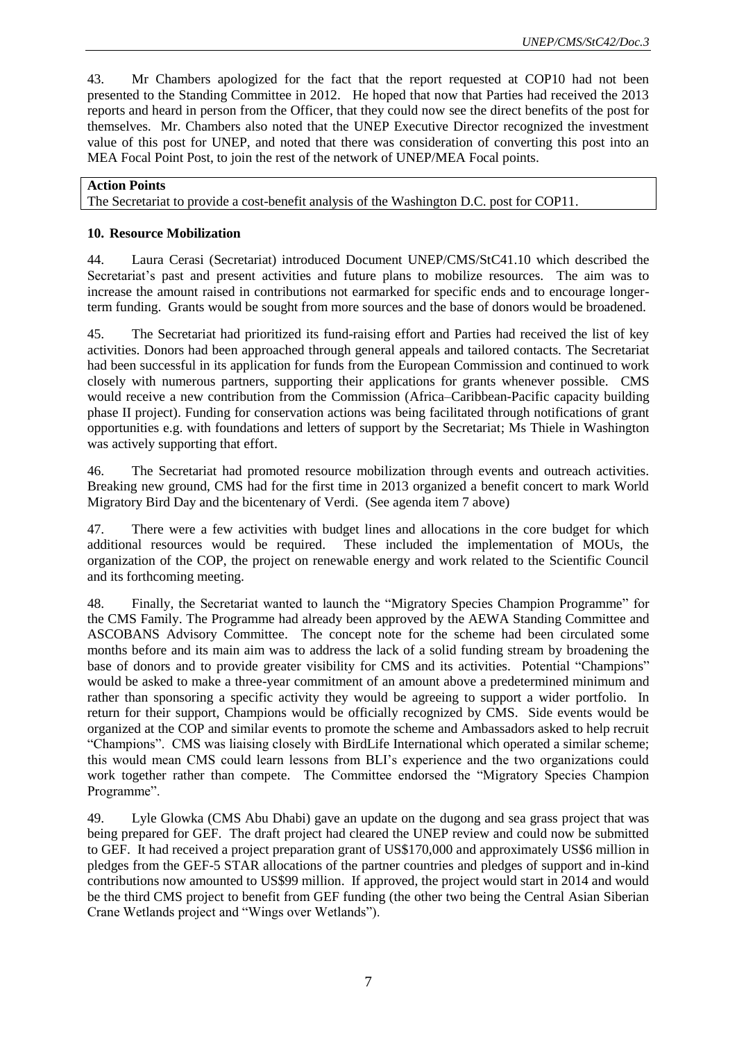43. Mr Chambers apologized for the fact that the report requested at COP10 had not been presented to the Standing Committee in 2012. He hoped that now that Parties had received the 2013 reports and heard in person from the Officer, that they could now see the direct benefits of the post for themselves. Mr. Chambers also noted that the UNEP Executive Director recognized the investment value of this post for UNEP, and noted that there was consideration of converting this post into an MEA Focal Point Post, to join the rest of the network of UNEP/MEA Focal points.

#### **Action Points**

The Secretariat to provide a cost-benefit analysis of the Washington D.C. post for COP11.

#### **10. Resource Mobilization**

44. Laura Cerasi (Secretariat) introduced Document UNEP/CMS/StC41.10 which described the Secretariat's past and present activities and future plans to mobilize resources. The aim was to increase the amount raised in contributions not earmarked for specific ends and to encourage longerterm funding. Grants would be sought from more sources and the base of donors would be broadened.

45. The Secretariat had prioritized its fund-raising effort and Parties had received the list of key activities. Donors had been approached through general appeals and tailored contacts. The Secretariat had been successful in its application for funds from the European Commission and continued to work closely with numerous partners, supporting their applications for grants whenever possible. CMS would receive a new contribution from the Commission (Africa–Caribbean-Pacific capacity building phase II project). Funding for conservation actions was being facilitated through notifications of grant opportunities e.g. with foundations and letters of support by the Secretariat; Ms Thiele in Washington was actively supporting that effort.

46. The Secretariat had promoted resource mobilization through events and outreach activities. Breaking new ground, CMS had for the first time in 2013 organized a benefit concert to mark World Migratory Bird Day and the bicentenary of Verdi. (See agenda item 7 above)

47. There were a few activities with budget lines and allocations in the core budget for which additional resources would be required. These included the implementation of MOUs, the organization of the COP, the project on renewable energy and work related to the Scientific Council and its forthcoming meeting.

48. Finally, the Secretariat wanted to launch the "Migratory Species Champion Programme" for the CMS Family. The Programme had already been approved by the AEWA Standing Committee and ASCOBANS Advisory Committee. The concept note for the scheme had been circulated some months before and its main aim was to address the lack of a solid funding stream by broadening the base of donors and to provide greater visibility for CMS and its activities. Potential "Champions" would be asked to make a three-year commitment of an amount above a predetermined minimum and rather than sponsoring a specific activity they would be agreeing to support a wider portfolio. In return for their support, Champions would be officially recognized by CMS. Side events would be organized at the COP and similar events to promote the scheme and Ambassadors asked to help recruit "Champions". CMS was liaising closely with BirdLife International which operated a similar scheme; this would mean CMS could learn lessons from BLI's experience and the two organizations could work together rather than compete. The Committee endorsed the "Migratory Species Champion Programme".

49. Lyle Glowka (CMS Abu Dhabi) gave an update on the dugong and sea grass project that was being prepared for GEF. The draft project had cleared the UNEP review and could now be submitted to GEF. It had received a project preparation grant of US\$170,000 and approximately US\$6 million in pledges from the GEF-5 STAR allocations of the partner countries and pledges of support and in-kind contributions now amounted to US\$99 million. If approved, the project would start in 2014 and would be the third CMS project to benefit from GEF funding (the other two being the Central Asian Siberian Crane Wetlands project and "Wings over Wetlands").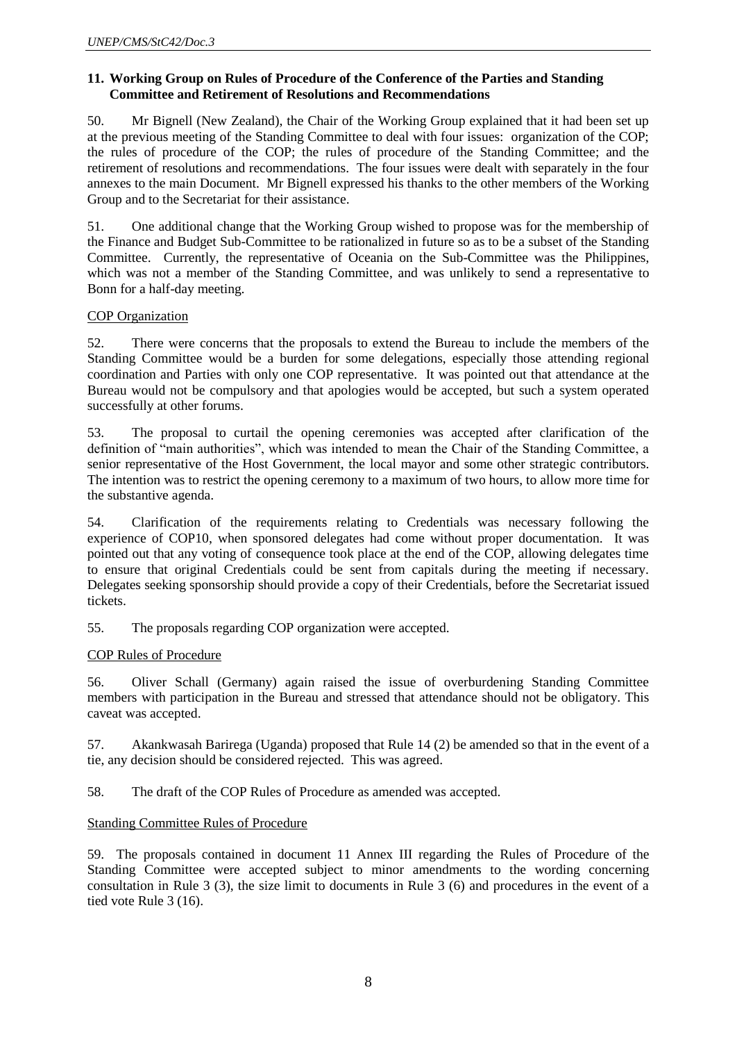#### **11. Working Group on Rules of Procedure of the Conference of the Parties and Standing Committee and Retirement of Resolutions and Recommendations**

50. Mr Bignell (New Zealand), the Chair of the Working Group explained that it had been set up at the previous meeting of the Standing Committee to deal with four issues: organization of the COP; the rules of procedure of the COP; the rules of procedure of the Standing Committee; and the retirement of resolutions and recommendations. The four issues were dealt with separately in the four annexes to the main Document. Mr Bignell expressed his thanks to the other members of the Working Group and to the Secretariat for their assistance.

51. One additional change that the Working Group wished to propose was for the membership of the Finance and Budget Sub-Committee to be rationalized in future so as to be a subset of the Standing Committee. Currently, the representative of Oceania on the Sub-Committee was the Philippines, which was not a member of the Standing Committee, and was unlikely to send a representative to Bonn for a half-day meeting.

### COP Organization

52. There were concerns that the proposals to extend the Bureau to include the members of the Standing Committee would be a burden for some delegations, especially those attending regional coordination and Parties with only one COP representative. It was pointed out that attendance at the Bureau would not be compulsory and that apologies would be accepted, but such a system operated successfully at other forums.

53. The proposal to curtail the opening ceremonies was accepted after clarification of the definition of "main authorities", which was intended to mean the Chair of the Standing Committee, a senior representative of the Host Government, the local mayor and some other strategic contributors. The intention was to restrict the opening ceremony to a maximum of two hours, to allow more time for the substantive agenda.

54. Clarification of the requirements relating to Credentials was necessary following the experience of COP10, when sponsored delegates had come without proper documentation. It was pointed out that any voting of consequence took place at the end of the COP, allowing delegates time to ensure that original Credentials could be sent from capitals during the meeting if necessary. Delegates seeking sponsorship should provide a copy of their Credentials, before the Secretariat issued tickets.

55. The proposals regarding COP organization were accepted.

### COP Rules of Procedure

56. Oliver Schall (Germany) again raised the issue of overburdening Standing Committee members with participation in the Bureau and stressed that attendance should not be obligatory. This caveat was accepted.

57. Akankwasah Barirega (Uganda) proposed that Rule 14 (2) be amended so that in the event of a tie, any decision should be considered rejected. This was agreed.

58. The draft of the COP Rules of Procedure as amended was accepted.

### Standing Committee Rules of Procedure

59. The proposals contained in document 11 Annex III regarding the Rules of Procedure of the Standing Committee were accepted subject to minor amendments to the wording concerning consultation in Rule 3 (3), the size limit to documents in Rule 3 (6) and procedures in the event of a tied vote Rule 3 (16).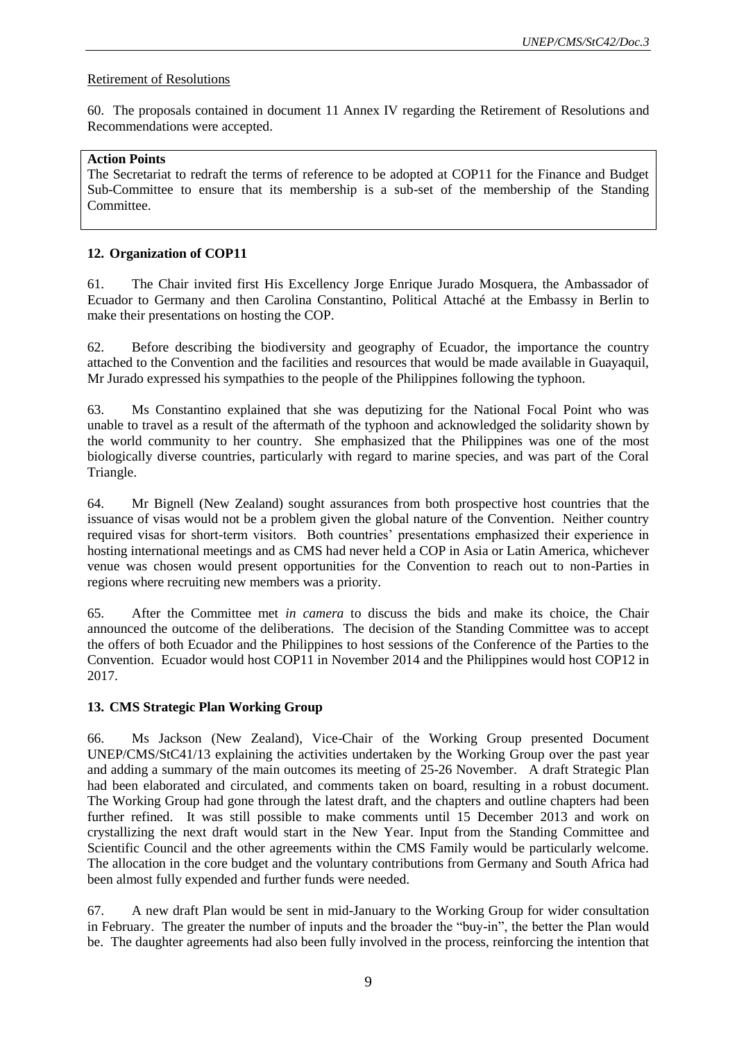#### Retirement of Resolutions

60. The proposals contained in document 11 Annex IV regarding the Retirement of Resolutions and Recommendations were accepted.

#### **Action Points**

The Secretariat to redraft the terms of reference to be adopted at COP11 for the Finance and Budget Sub-Committee to ensure that its membership is a sub-set of the membership of the Standing Committee.

### **12. Organization of COP11**

61. The Chair invited first His Excellency Jorge Enrique Jurado Mosquera, the Ambassador of Ecuador to Germany and then Carolina Constantino, Political Attaché at the Embassy in Berlin to make their presentations on hosting the COP.

62. Before describing the biodiversity and geography of Ecuador, the importance the country attached to the Convention and the facilities and resources that would be made available in Guayaquil, Mr Jurado expressed his sympathies to the people of the Philippines following the typhoon.

63. Ms Constantino explained that she was deputizing for the National Focal Point who was unable to travel as a result of the aftermath of the typhoon and acknowledged the solidarity shown by the world community to her country. She emphasized that the Philippines was one of the most biologically diverse countries, particularly with regard to marine species, and was part of the Coral Triangle.

64. Mr Bignell (New Zealand) sought assurances from both prospective host countries that the issuance of visas would not be a problem given the global nature of the Convention. Neither country required visas for short-term visitors. Both countries' presentations emphasized their experience in hosting international meetings and as CMS had never held a COP in Asia or Latin America, whichever venue was chosen would present opportunities for the Convention to reach out to non-Parties in regions where recruiting new members was a priority.

65. After the Committee met *in camera* to discuss the bids and make its choice, the Chair announced the outcome of the deliberations. The decision of the Standing Committee was to accept the offers of both Ecuador and the Philippines to host sessions of the Conference of the Parties to the Convention. Ecuador would host COP11 in November 2014 and the Philippines would host COP12 in 2017.

### **13. CMS Strategic Plan Working Group**

66. Ms Jackson (New Zealand), Vice-Chair of the Working Group presented Document UNEP/CMS/StC41/13 explaining the activities undertaken by the Working Group over the past year and adding a summary of the main outcomes its meeting of 25-26 November. A draft Strategic Plan had been elaborated and circulated, and comments taken on board, resulting in a robust document. The Working Group had gone through the latest draft, and the chapters and outline chapters had been further refined. It was still possible to make comments until 15 December 2013 and work on crystallizing the next draft would start in the New Year. Input from the Standing Committee and Scientific Council and the other agreements within the CMS Family would be particularly welcome. The allocation in the core budget and the voluntary contributions from Germany and South Africa had been almost fully expended and further funds were needed.

67. A new draft Plan would be sent in mid-January to the Working Group for wider consultation in February. The greater the number of inputs and the broader the "buy-in", the better the Plan would be. The daughter agreements had also been fully involved in the process, reinforcing the intention that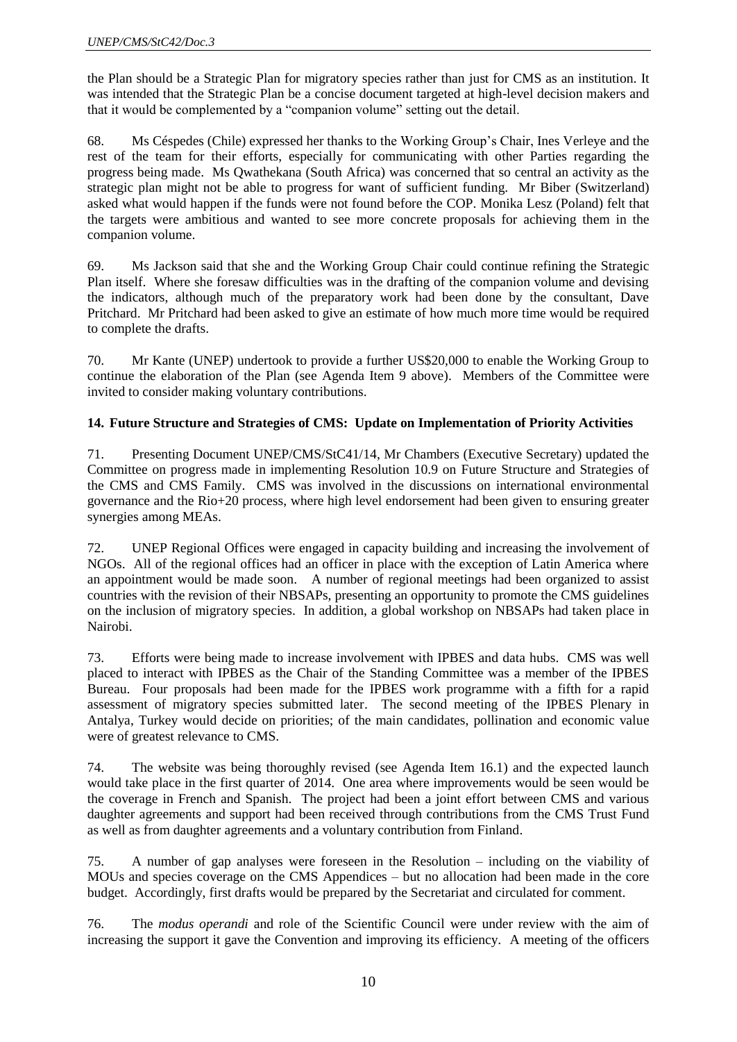the Plan should be a Strategic Plan for migratory species rather than just for CMS as an institution. It was intended that the Strategic Plan be a concise document targeted at high-level decision makers and that it would be complemented by a "companion volume" setting out the detail.

68. Ms Céspedes (Chile) expressed her thanks to the Working Group's Chair, Ines Verleye and the rest of the team for their efforts, especially for communicating with other Parties regarding the progress being made. Ms Qwathekana (South Africa) was concerned that so central an activity as the strategic plan might not be able to progress for want of sufficient funding. Mr Biber (Switzerland) asked what would happen if the funds were not found before the COP. Monika Lesz (Poland) felt that the targets were ambitious and wanted to see more concrete proposals for achieving them in the companion volume.

69. Ms Jackson said that she and the Working Group Chair could continue refining the Strategic Plan itself. Where she foresaw difficulties was in the drafting of the companion volume and devising the indicators, although much of the preparatory work had been done by the consultant, Dave Pritchard. Mr Pritchard had been asked to give an estimate of how much more time would be required to complete the drafts.

70. Mr Kante (UNEP) undertook to provide a further US\$20,000 to enable the Working Group to continue the elaboration of the Plan (see Agenda Item 9 above). Members of the Committee were invited to consider making voluntary contributions.

### **14. Future Structure and Strategies of CMS: Update on Implementation of Priority Activities**

71. Presenting Document UNEP/CMS/StC41/14, Mr Chambers (Executive Secretary) updated the Committee on progress made in implementing Resolution 10.9 on Future Structure and Strategies of the CMS and CMS Family. CMS was involved in the discussions on international environmental governance and the Rio+20 process, where high level endorsement had been given to ensuring greater synergies among MEAs.

72. UNEP Regional Offices were engaged in capacity building and increasing the involvement of NGOs. All of the regional offices had an officer in place with the exception of Latin America where an appointment would be made soon. A number of regional meetings had been organized to assist countries with the revision of their NBSAPs, presenting an opportunity to promote the CMS guidelines on the inclusion of migratory species. In addition, a global workshop on NBSAPs had taken place in Nairobi.

73. Efforts were being made to increase involvement with IPBES and data hubs. CMS was well placed to interact with IPBES as the Chair of the Standing Committee was a member of the IPBES Bureau. Four proposals had been made for the IPBES work programme with a fifth for a rapid assessment of migratory species submitted later. The second meeting of the IPBES Plenary in Antalya, Turkey would decide on priorities; of the main candidates, pollination and economic value were of greatest relevance to CMS.

74. The website was being thoroughly revised (see Agenda Item 16.1) and the expected launch would take place in the first quarter of 2014. One area where improvements would be seen would be the coverage in French and Spanish. The project had been a joint effort between CMS and various daughter agreements and support had been received through contributions from the CMS Trust Fund as well as from daughter agreements and a voluntary contribution from Finland.

75. A number of gap analyses were foreseen in the Resolution – including on the viability of MOUs and species coverage on the CMS Appendices – but no allocation had been made in the core budget. Accordingly, first drafts would be prepared by the Secretariat and circulated for comment.

76. The *modus operandi* and role of the Scientific Council were under review with the aim of increasing the support it gave the Convention and improving its efficiency. A meeting of the officers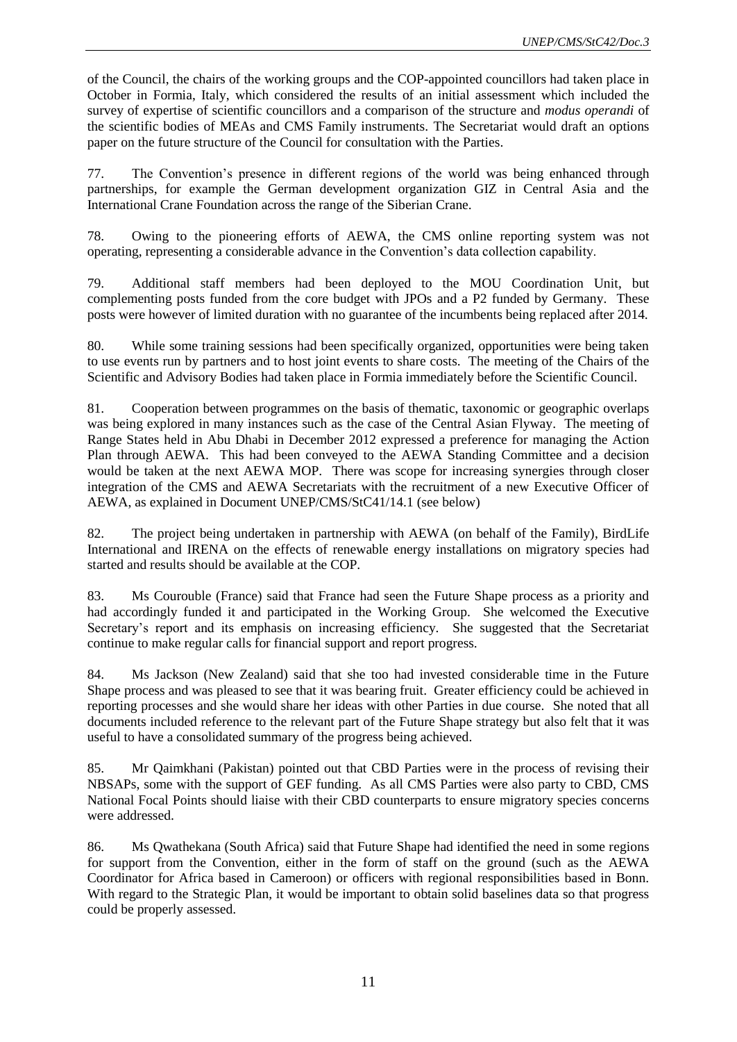of the Council, the chairs of the working groups and the COP-appointed councillors had taken place in October in Formia, Italy, which considered the results of an initial assessment which included the survey of expertise of scientific councillors and a comparison of the structure and *modus operandi* of the scientific bodies of MEAs and CMS Family instruments. The Secretariat would draft an options paper on the future structure of the Council for consultation with the Parties.

77. The Convention's presence in different regions of the world was being enhanced through partnerships, for example the German development organization GIZ in Central Asia and the International Crane Foundation across the range of the Siberian Crane.

78. Owing to the pioneering efforts of AEWA, the CMS online reporting system was not operating, representing a considerable advance in the Convention's data collection capability.

79. Additional staff members had been deployed to the MOU Coordination Unit, but complementing posts funded from the core budget with JPOs and a P2 funded by Germany. These posts were however of limited duration with no guarantee of the incumbents being replaced after 2014.

80. While some training sessions had been specifically organized, opportunities were being taken to use events run by partners and to host joint events to share costs. The meeting of the Chairs of the Scientific and Advisory Bodies had taken place in Formia immediately before the Scientific Council.

81. Cooperation between programmes on the basis of thematic, taxonomic or geographic overlaps was being explored in many instances such as the case of the Central Asian Flyway. The meeting of Range States held in Abu Dhabi in December 2012 expressed a preference for managing the Action Plan through AEWA. This had been conveyed to the AEWA Standing Committee and a decision would be taken at the next AEWA MOP. There was scope for increasing synergies through closer integration of the CMS and AEWA Secretariats with the recruitment of a new Executive Officer of AEWA, as explained in Document UNEP/CMS/StC41/14.1 (see below)

82. The project being undertaken in partnership with AEWA (on behalf of the Family), BirdLife International and IRENA on the effects of renewable energy installations on migratory species had started and results should be available at the COP.

83. Ms Courouble (France) said that France had seen the Future Shape process as a priority and had accordingly funded it and participated in the Working Group. She welcomed the Executive Secretary's report and its emphasis on increasing efficiency. She suggested that the Secretariat continue to make regular calls for financial support and report progress.

84. Ms Jackson (New Zealand) said that she too had invested considerable time in the Future Shape process and was pleased to see that it was bearing fruit. Greater efficiency could be achieved in reporting processes and she would share her ideas with other Parties in due course. She noted that all documents included reference to the relevant part of the Future Shape strategy but also felt that it was useful to have a consolidated summary of the progress being achieved.

85. Mr Qaimkhani (Pakistan) pointed out that CBD Parties were in the process of revising their NBSAPs, some with the support of GEF funding. As all CMS Parties were also party to CBD, CMS National Focal Points should liaise with their CBD counterparts to ensure migratory species concerns were addressed.

86. Ms Qwathekana (South Africa) said that Future Shape had identified the need in some regions for support from the Convention, either in the form of staff on the ground (such as the AEWA Coordinator for Africa based in Cameroon) or officers with regional responsibilities based in Bonn. With regard to the Strategic Plan, it would be important to obtain solid baselines data so that progress could be properly assessed.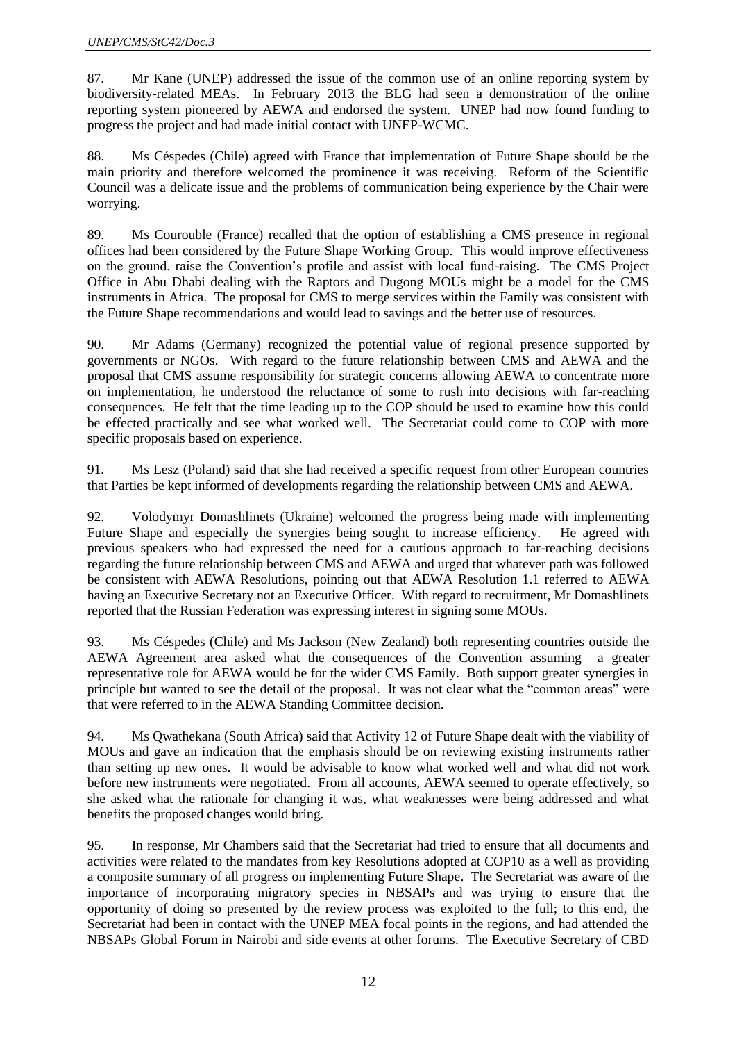87. Mr Kane (UNEP) addressed the issue of the common use of an online reporting system by biodiversity-related MEAs. In February 2013 the BLG had seen a demonstration of the online reporting system pioneered by AEWA and endorsed the system. UNEP had now found funding to progress the project and had made initial contact with UNEP-WCMC.

88. Ms Céspedes (Chile) agreed with France that implementation of Future Shape should be the main priority and therefore welcomed the prominence it was receiving. Reform of the Scientific Council was a delicate issue and the problems of communication being experience by the Chair were worrying.

89. Ms Courouble (France) recalled that the option of establishing a CMS presence in regional offices had been considered by the Future Shape Working Group. This would improve effectiveness on the ground, raise the Convention's profile and assist with local fund-raising. The CMS Project Office in Abu Dhabi dealing with the Raptors and Dugong MOUs might be a model for the CMS instruments in Africa. The proposal for CMS to merge services within the Family was consistent with the Future Shape recommendations and would lead to savings and the better use of resources.

90. Mr Adams (Germany) recognized the potential value of regional presence supported by governments or NGOs. With regard to the future relationship between CMS and AEWA and the proposal that CMS assume responsibility for strategic concerns allowing AEWA to concentrate more on implementation, he understood the reluctance of some to rush into decisions with far-reaching consequences. He felt that the time leading up to the COP should be used to examine how this could be effected practically and see what worked well. The Secretariat could come to COP with more specific proposals based on experience.

91. Ms Lesz (Poland) said that she had received a specific request from other European countries that Parties be kept informed of developments regarding the relationship between CMS and AEWA.

92. Volodymyr Domashlinets (Ukraine) welcomed the progress being made with implementing Future Shape and especially the synergies being sought to increase efficiency. He agreed with previous speakers who had expressed the need for a cautious approach to far-reaching decisions regarding the future relationship between CMS and AEWA and urged that whatever path was followed be consistent with AEWA Resolutions, pointing out that AEWA Resolution 1.1 referred to AEWA having an Executive Secretary not an Executive Officer. With regard to recruitment, Mr Domashlinets reported that the Russian Federation was expressing interest in signing some MOUs.

93. Ms Céspedes (Chile) and Ms Jackson (New Zealand) both representing countries outside the AEWA Agreement area asked what the consequences of the Convention assuming a greater representative role for AEWA would be for the wider CMS Family. Both support greater synergies in principle but wanted to see the detail of the proposal. It was not clear what the "common areas" were that were referred to in the AEWA Standing Committee decision.

94. Ms Qwathekana (South Africa) said that Activity 12 of Future Shape dealt with the viability of MOUs and gave an indication that the emphasis should be on reviewing existing instruments rather than setting up new ones. It would be advisable to know what worked well and what did not work before new instruments were negotiated. From all accounts, AEWA seemed to operate effectively, so she asked what the rationale for changing it was, what weaknesses were being addressed and what benefits the proposed changes would bring.

95. In response, Mr Chambers said that the Secretariat had tried to ensure that all documents and activities were related to the mandates from key Resolutions adopted at COP10 as a well as providing a composite summary of all progress on implementing Future Shape. The Secretariat was aware of the importance of incorporating migratory species in NBSAPs and was trying to ensure that the opportunity of doing so presented by the review process was exploited to the full; to this end, the Secretariat had been in contact with the UNEP MEA focal points in the regions, and had attended the NBSAPs Global Forum in Nairobi and side events at other forums. The Executive Secretary of CBD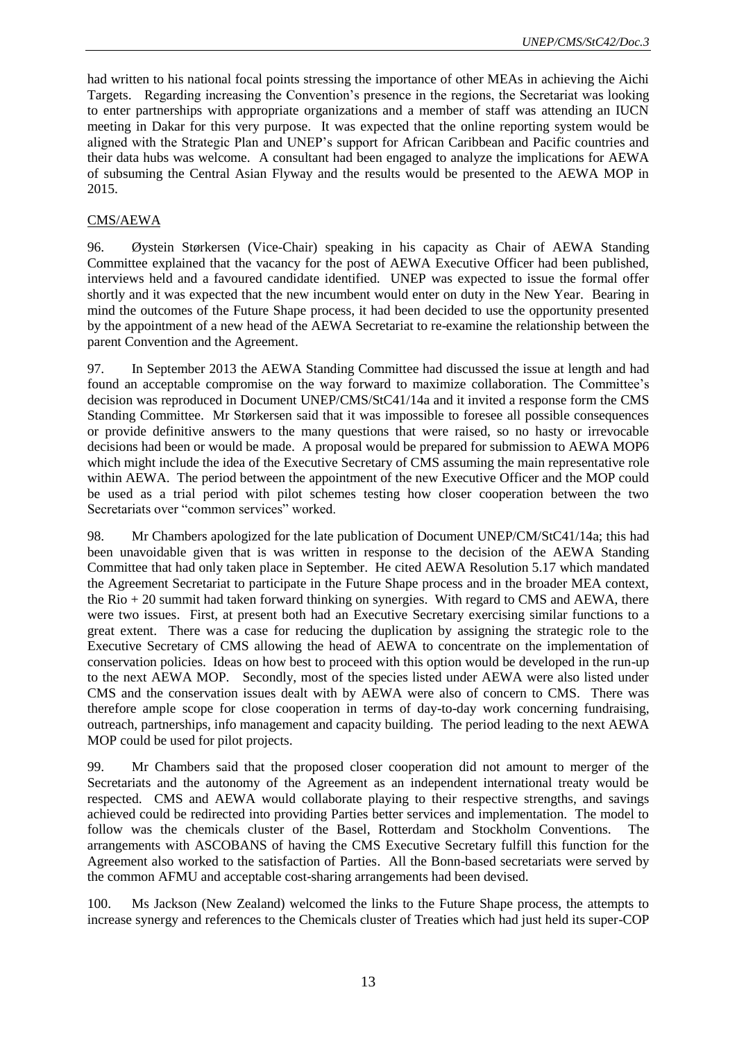had written to his national focal points stressing the importance of other MEAs in achieving the Aichi Targets. Regarding increasing the Convention's presence in the regions, the Secretariat was looking to enter partnerships with appropriate organizations and a member of staff was attending an IUCN meeting in Dakar for this very purpose. It was expected that the online reporting system would be aligned with the Strategic Plan and UNEP's support for African Caribbean and Pacific countries and their data hubs was welcome. A consultant had been engaged to analyze the implications for AEWA of subsuming the Central Asian Flyway and the results would be presented to the AEWA MOP in 2015.

#### CMS/AEWA

96. Øystein Størkersen (Vice-Chair) speaking in his capacity as Chair of AEWA Standing Committee explained that the vacancy for the post of AEWA Executive Officer had been published, interviews held and a favoured candidate identified. UNEP was expected to issue the formal offer shortly and it was expected that the new incumbent would enter on duty in the New Year. Bearing in mind the outcomes of the Future Shape process, it had been decided to use the opportunity presented by the appointment of a new head of the AEWA Secretariat to re-examine the relationship between the parent Convention and the Agreement.

97. In September 2013 the AEWA Standing Committee had discussed the issue at length and had found an acceptable compromise on the way forward to maximize collaboration. The Committee's decision was reproduced in Document UNEP/CMS/StC41/14a and it invited a response form the CMS Standing Committee. Mr Størkersen said that it was impossible to foresee all possible consequences or provide definitive answers to the many questions that were raised, so no hasty or irrevocable decisions had been or would be made. A proposal would be prepared for submission to AEWA MOP6 which might include the idea of the Executive Secretary of CMS assuming the main representative role within AEWA. The period between the appointment of the new Executive Officer and the MOP could be used as a trial period with pilot schemes testing how closer cooperation between the two Secretariats over "common services" worked.

98. Mr Chambers apologized for the late publication of Document UNEP/CM/StC41/14a; this had been unavoidable given that is was written in response to the decision of the AEWA Standing Committee that had only taken place in September. He cited AEWA Resolution 5.17 which mandated the Agreement Secretariat to participate in the Future Shape process and in the broader MEA context, the Rio + 20 summit had taken forward thinking on synergies. With regard to CMS and AEWA, there were two issues. First, at present both had an Executive Secretary exercising similar functions to a great extent. There was a case for reducing the duplication by assigning the strategic role to the Executive Secretary of CMS allowing the head of AEWA to concentrate on the implementation of conservation policies. Ideas on how best to proceed with this option would be developed in the run-up to the next AEWA MOP. Secondly, most of the species listed under AEWA were also listed under CMS and the conservation issues dealt with by AEWA were also of concern to CMS. There was therefore ample scope for close cooperation in terms of day-to-day work concerning fundraising, outreach, partnerships, info management and capacity building. The period leading to the next AEWA MOP could be used for pilot projects.

99. Mr Chambers said that the proposed closer cooperation did not amount to merger of the Secretariats and the autonomy of the Agreement as an independent international treaty would be respected. CMS and AEWA would collaborate playing to their respective strengths, and savings achieved could be redirected into providing Parties better services and implementation. The model to follow was the chemicals cluster of the Basel, Rotterdam and Stockholm Conventions. The arrangements with ASCOBANS of having the CMS Executive Secretary fulfill this function for the Agreement also worked to the satisfaction of Parties. All the Bonn-based secretariats were served by the common AFMU and acceptable cost-sharing arrangements had been devised.

100. Ms Jackson (New Zealand) welcomed the links to the Future Shape process, the attempts to increase synergy and references to the Chemicals cluster of Treaties which had just held its super-COP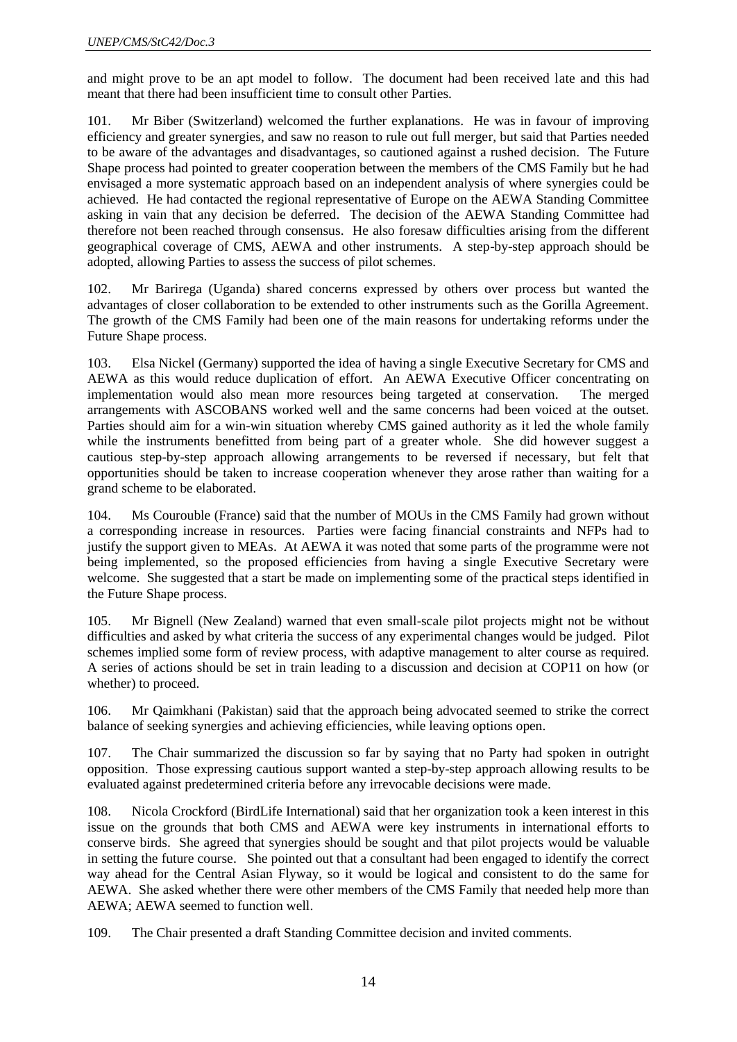and might prove to be an apt model to follow. The document had been received late and this had meant that there had been insufficient time to consult other Parties.

101. Mr Biber (Switzerland) welcomed the further explanations. He was in favour of improving efficiency and greater synergies, and saw no reason to rule out full merger, but said that Parties needed to be aware of the advantages and disadvantages, so cautioned against a rushed decision. The Future Shape process had pointed to greater cooperation between the members of the CMS Family but he had envisaged a more systematic approach based on an independent analysis of where synergies could be achieved. He had contacted the regional representative of Europe on the AEWA Standing Committee asking in vain that any decision be deferred. The decision of the AEWA Standing Committee had therefore not been reached through consensus. He also foresaw difficulties arising from the different geographical coverage of CMS, AEWA and other instruments. A step-by-step approach should be adopted, allowing Parties to assess the success of pilot schemes.

102. Mr Barirega (Uganda) shared concerns expressed by others over process but wanted the advantages of closer collaboration to be extended to other instruments such as the Gorilla Agreement. The growth of the CMS Family had been one of the main reasons for undertaking reforms under the Future Shape process.

103. Elsa Nickel (Germany) supported the idea of having a single Executive Secretary for CMS and AEWA as this would reduce duplication of effort. An AEWA Executive Officer concentrating on implementation would also mean more resources being targeted at conservation. The merged arrangements with ASCOBANS worked well and the same concerns had been voiced at the outset. Parties should aim for a win-win situation whereby CMS gained authority as it led the whole family while the instruments benefitted from being part of a greater whole. She did however suggest a cautious step-by-step approach allowing arrangements to be reversed if necessary, but felt that opportunities should be taken to increase cooperation whenever they arose rather than waiting for a grand scheme to be elaborated.

104. Ms Courouble (France) said that the number of MOUs in the CMS Family had grown without a corresponding increase in resources. Parties were facing financial constraints and NFPs had to justify the support given to MEAs. At AEWA it was noted that some parts of the programme were not being implemented, so the proposed efficiencies from having a single Executive Secretary were welcome. She suggested that a start be made on implementing some of the practical steps identified in the Future Shape process.

105. Mr Bignell (New Zealand) warned that even small-scale pilot projects might not be without difficulties and asked by what criteria the success of any experimental changes would be judged. Pilot schemes implied some form of review process, with adaptive management to alter course as required. A series of actions should be set in train leading to a discussion and decision at COP11 on how (or whether) to proceed.

106. Mr Qaimkhani (Pakistan) said that the approach being advocated seemed to strike the correct balance of seeking synergies and achieving efficiencies, while leaving options open.

107. The Chair summarized the discussion so far by saying that no Party had spoken in outright opposition. Those expressing cautious support wanted a step-by-step approach allowing results to be evaluated against predetermined criteria before any irrevocable decisions were made.

108. Nicola Crockford (BirdLife International) said that her organization took a keen interest in this issue on the grounds that both CMS and AEWA were key instruments in international efforts to conserve birds. She agreed that synergies should be sought and that pilot projects would be valuable in setting the future course. She pointed out that a consultant had been engaged to identify the correct way ahead for the Central Asian Flyway, so it would be logical and consistent to do the same for AEWA. She asked whether there were other members of the CMS Family that needed help more than AEWA; AEWA seemed to function well.

109. The Chair presented a draft Standing Committee decision and invited comments.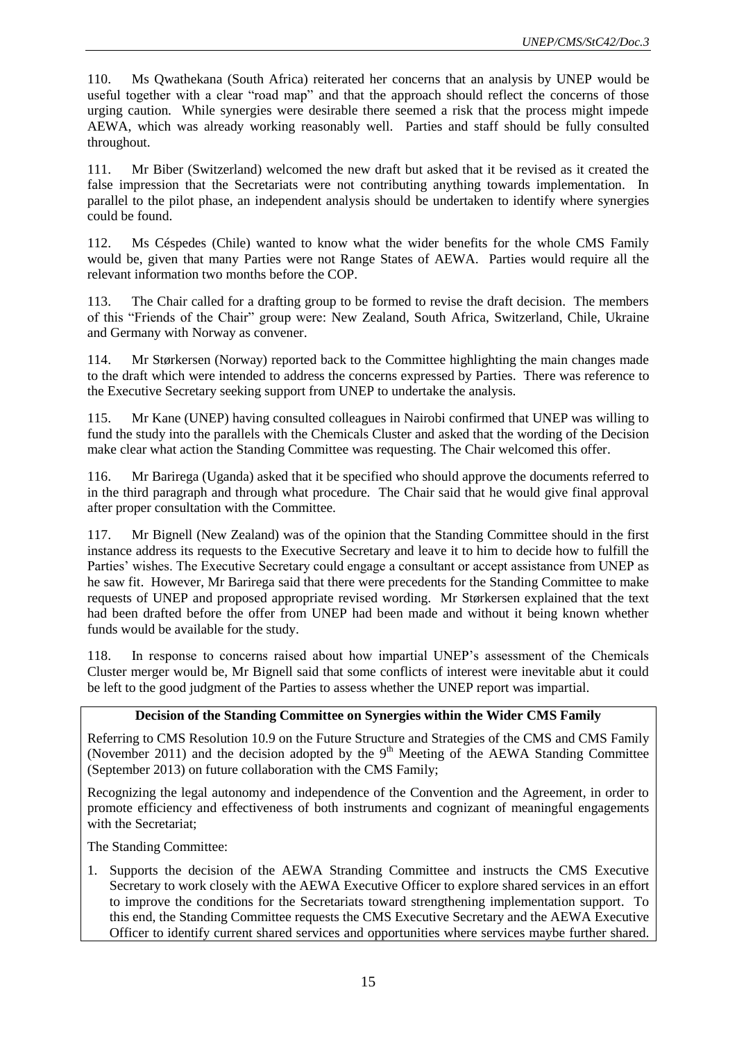110. Ms Qwathekana (South Africa) reiterated her concerns that an analysis by UNEP would be useful together with a clear "road map" and that the approach should reflect the concerns of those urging caution. While synergies were desirable there seemed a risk that the process might impede AEWA, which was already working reasonably well. Parties and staff should be fully consulted throughout.

111. Mr Biber (Switzerland) welcomed the new draft but asked that it be revised as it created the false impression that the Secretariats were not contributing anything towards implementation. In parallel to the pilot phase, an independent analysis should be undertaken to identify where synergies could be found.

112. Ms Céspedes (Chile) wanted to know what the wider benefits for the whole CMS Family would be, given that many Parties were not Range States of AEWA. Parties would require all the relevant information two months before the COP.

113. The Chair called for a drafting group to be formed to revise the draft decision. The members of this "Friends of the Chair" group were: New Zealand, South Africa, Switzerland, Chile, Ukraine and Germany with Norway as convener.

114. Mr Størkersen (Norway) reported back to the Committee highlighting the main changes made to the draft which were intended to address the concerns expressed by Parties. There was reference to the Executive Secretary seeking support from UNEP to undertake the analysis.

115. Mr Kane (UNEP) having consulted colleagues in Nairobi confirmed that UNEP was willing to fund the study into the parallels with the Chemicals Cluster and asked that the wording of the Decision make clear what action the Standing Committee was requesting. The Chair welcomed this offer.

116. Mr Barirega (Uganda) asked that it be specified who should approve the documents referred to in the third paragraph and through what procedure. The Chair said that he would give final approval after proper consultation with the Committee.

117. Mr Bignell (New Zealand) was of the opinion that the Standing Committee should in the first instance address its requests to the Executive Secretary and leave it to him to decide how to fulfill the Parties' wishes. The Executive Secretary could engage a consultant or accept assistance from UNEP as he saw fit. However, Mr Barirega said that there were precedents for the Standing Committee to make requests of UNEP and proposed appropriate revised wording. Mr Størkersen explained that the text had been drafted before the offer from UNEP had been made and without it being known whether funds would be available for the study.

118. In response to concerns raised about how impartial UNEP's assessment of the Chemicals Cluster merger would be, Mr Bignell said that some conflicts of interest were inevitable abut it could be left to the good judgment of the Parties to assess whether the UNEP report was impartial.

### **Decision of the Standing Committee on Synergies within the Wider CMS Family**

Referring to CMS Resolution 10.9 on the Future Structure and Strategies of the CMS and CMS Family (November 2011) and the decision adopted by the  $9<sup>th</sup>$  Meeting of the AEWA Standing Committee (September 2013) on future collaboration with the CMS Family;

Recognizing the legal autonomy and independence of the Convention and the Agreement, in order to promote efficiency and effectiveness of both instruments and cognizant of meaningful engagements with the Secretariat;

The Standing Committee:

1. Supports the decision of the AEWA Stranding Committee and instructs the CMS Executive Secretary to work closely with the AEWA Executive Officer to explore shared services in an effort to improve the conditions for the Secretariats toward strengthening implementation support. To this end, the Standing Committee requests the CMS Executive Secretary and the AEWA Executive Officer to identify current shared services and opportunities where services maybe further shared.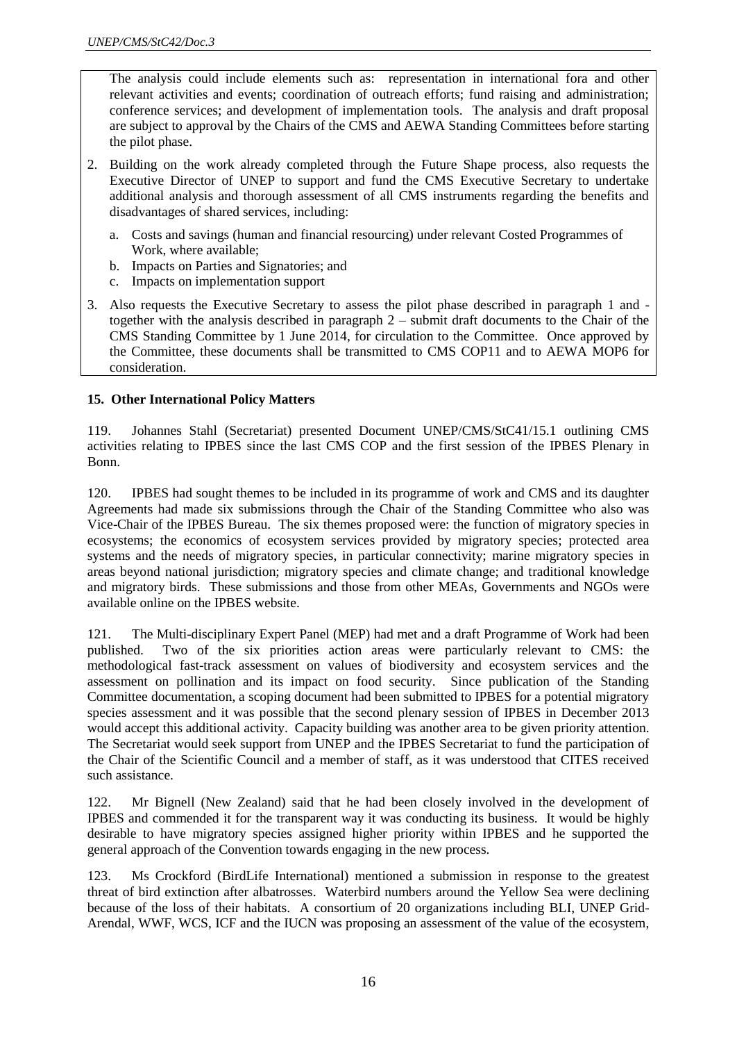The analysis could include elements such as: representation in international fora and other relevant activities and events; coordination of outreach efforts; fund raising and administration; conference services; and development of implementation tools. The analysis and draft proposal are subject to approval by the Chairs of the CMS and AEWA Standing Committees before starting the pilot phase.

- 2. Building on the work already completed through the Future Shape process, also requests the Executive Director of UNEP to support and fund the CMS Executive Secretary to undertake additional analysis and thorough assessment of all CMS instruments regarding the benefits and disadvantages of shared services, including:
	- a. Costs and savings (human and financial resourcing) under relevant Costed Programmes of Work, where available;
	- b. Impacts on Parties and Signatories; and
	- c. Impacts on implementation support
- 3. Also requests the Executive Secretary to assess the pilot phase described in paragraph 1 and together with the analysis described in paragraph 2 – submit draft documents to the Chair of the CMS Standing Committee by 1 June 2014, for circulation to the Committee. Once approved by the Committee, these documents shall be transmitted to CMS COP11 and to AEWA MOP6 for consideration.

### **15. Other International Policy Matters**

119. Johannes Stahl (Secretariat) presented Document UNEP/CMS/StC41/15.1 outlining CMS activities relating to IPBES since the last CMS COP and the first session of the IPBES Plenary in Bonn.

120. IPBES had sought themes to be included in its programme of work and CMS and its daughter Agreements had made six submissions through the Chair of the Standing Committee who also was Vice-Chair of the IPBES Bureau. The six themes proposed were: the function of migratory species in ecosystems; the economics of ecosystem services provided by migratory species; protected area systems and the needs of migratory species, in particular connectivity; marine migratory species in areas beyond national jurisdiction; migratory species and climate change; and traditional knowledge and migratory birds. These submissions and those from other MEAs, Governments and NGOs were available online on the IPBES website.

121. The Multi-disciplinary Expert Panel (MEP) had met and a draft Programme of Work had been published. Two of the six priorities action areas were particularly relevant to CMS: the methodological fast-track assessment on values of biodiversity and ecosystem services and the assessment on pollination and its impact on food security. Since publication of the Standing Committee documentation, a scoping document had been submitted to IPBES for a potential migratory species assessment and it was possible that the second plenary session of IPBES in December 2013 would accept this additional activity. Capacity building was another area to be given priority attention. The Secretariat would seek support from UNEP and the IPBES Secretariat to fund the participation of the Chair of the Scientific Council and a member of staff, as it was understood that CITES received such assistance.

122. Mr Bignell (New Zealand) said that he had been closely involved in the development of IPBES and commended it for the transparent way it was conducting its business. It would be highly desirable to have migratory species assigned higher priority within IPBES and he supported the general approach of the Convention towards engaging in the new process.

123. Ms Crockford (BirdLife International) mentioned a submission in response to the greatest threat of bird extinction after albatrosses. Waterbird numbers around the Yellow Sea were declining because of the loss of their habitats. A consortium of 20 organizations including BLI, UNEP Grid-Arendal, WWF, WCS, ICF and the IUCN was proposing an assessment of the value of the ecosystem,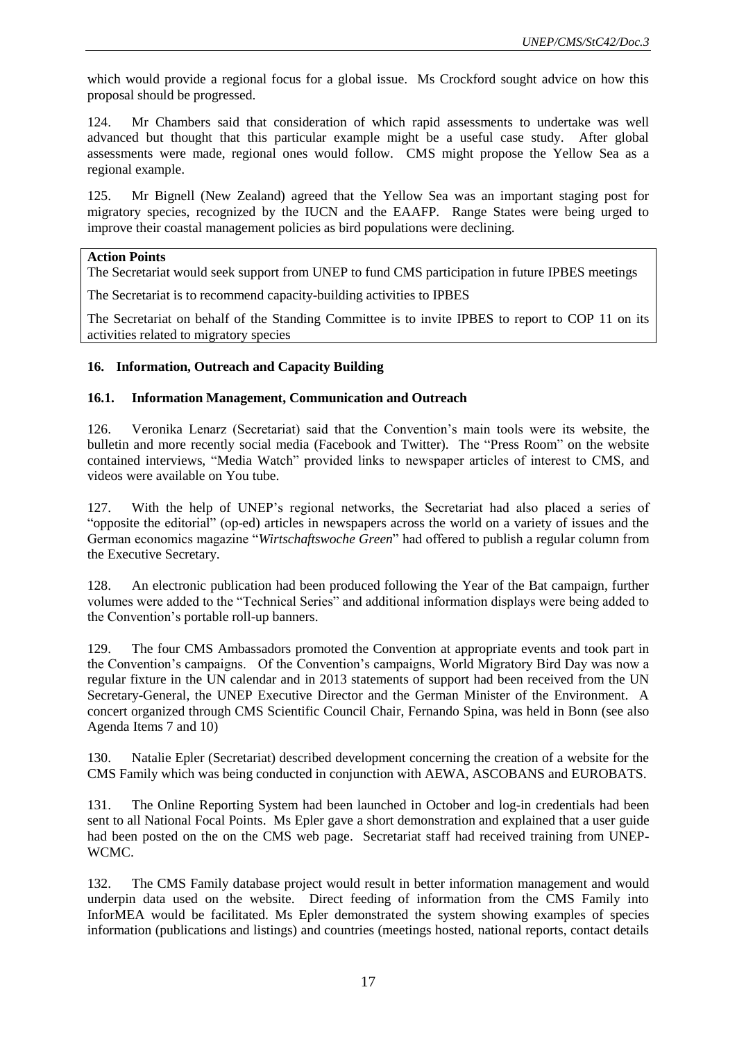which would provide a regional focus for a global issue. Ms Crockford sought advice on how this proposal should be progressed.

124. Mr Chambers said that consideration of which rapid assessments to undertake was well advanced but thought that this particular example might be a useful case study. After global assessments were made, regional ones would follow. CMS might propose the Yellow Sea as a regional example.

125. Mr Bignell (New Zealand) agreed that the Yellow Sea was an important staging post for migratory species, recognized by the IUCN and the EAAFP. Range States were being urged to improve their coastal management policies as bird populations were declining.

#### **Action Points**

The Secretariat would seek support from UNEP to fund CMS participation in future IPBES meetings

The Secretariat is to recommend capacity-building activities to IPBES

The Secretariat on behalf of the Standing Committee is to invite IPBES to report to COP 11 on its activities related to migratory species

#### **16. Information, Outreach and Capacity Building**

#### **16.1. Information Management, Communication and Outreach**

126. Veronika Lenarz (Secretariat) said that the Convention's main tools were its website, the bulletin and more recently social media (Facebook and Twitter). The "Press Room" on the website contained interviews, "Media Watch" provided links to newspaper articles of interest to CMS, and videos were available on You tube.

127. With the help of UNEP's regional networks, the Secretariat had also placed a series of "opposite the editorial" (op-ed) articles in newspapers across the world on a variety of issues and the German economics magazine "*Wirtschaftswoche Green*" had offered to publish a regular column from the Executive Secretary.

128. An electronic publication had been produced following the Year of the Bat campaign, further volumes were added to the "Technical Series" and additional information displays were being added to the Convention's portable roll-up banners.

129. The four CMS Ambassadors promoted the Convention at appropriate events and took part in the Convention's campaigns. Of the Convention's campaigns, World Migratory Bird Day was now a regular fixture in the UN calendar and in 2013 statements of support had been received from the UN Secretary-General, the UNEP Executive Director and the German Minister of the Environment. A concert organized through CMS Scientific Council Chair, Fernando Spina, was held in Bonn (see also Agenda Items 7 and 10)

130. Natalie Epler (Secretariat) described development concerning the creation of a website for the CMS Family which was being conducted in conjunction with AEWA, ASCOBANS and EUROBATS.

131. The Online Reporting System had been launched in October and log-in credentials had been sent to all National Focal Points. Ms Epler gave a short demonstration and explained that a user guide had been posted on the on the CMS web page. Secretariat staff had received training from UNEP-WCMC.

132. The CMS Family database project would result in better information management and would underpin data used on the website. Direct feeding of information from the CMS Family into InforMEA would be facilitated. Ms Epler demonstrated the system showing examples of species information (publications and listings) and countries (meetings hosted, national reports, contact details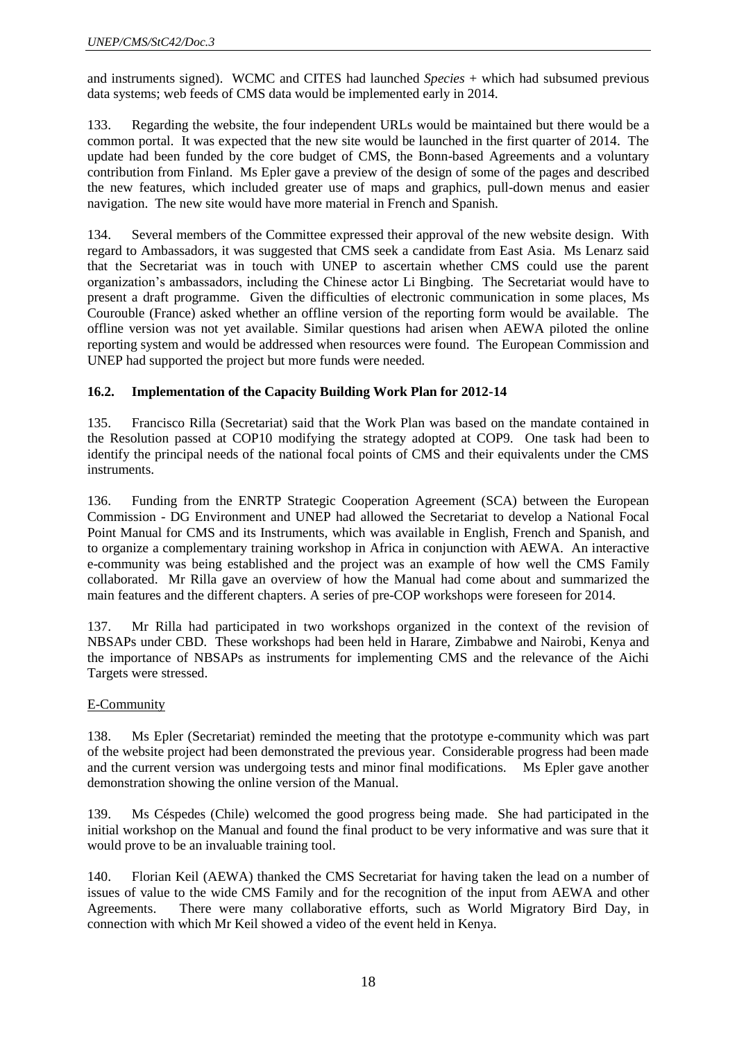and instruments signed). WCMC and CITES had launched *Species* + which had subsumed previous data systems; web feeds of CMS data would be implemented early in 2014.

133. Regarding the website, the four independent URLs would be maintained but there would be a common portal. It was expected that the new site would be launched in the first quarter of 2014. The update had been funded by the core budget of CMS, the Bonn-based Agreements and a voluntary contribution from Finland. Ms Epler gave a preview of the design of some of the pages and described the new features, which included greater use of maps and graphics, pull-down menus and easier navigation. The new site would have more material in French and Spanish.

134. Several members of the Committee expressed their approval of the new website design. With regard to Ambassadors, it was suggested that CMS seek a candidate from East Asia. Ms Lenarz said that the Secretariat was in touch with UNEP to ascertain whether CMS could use the parent organization's ambassadors, including the Chinese actor Li Bingbing. The Secretariat would have to present a draft programme. Given the difficulties of electronic communication in some places, Ms Courouble (France) asked whether an offline version of the reporting form would be available. The offline version was not yet available. Similar questions had arisen when AEWA piloted the online reporting system and would be addressed when resources were found. The European Commission and UNEP had supported the project but more funds were needed.

### **16.2. Implementation of the Capacity Building Work Plan for 2012-14**

135. Francisco Rilla (Secretariat) said that the Work Plan was based on the mandate contained in the Resolution passed at COP10 modifying the strategy adopted at COP9. One task had been to identify the principal needs of the national focal points of CMS and their equivalents under the CMS instruments.

136. Funding from the ENRTP Strategic Cooperation Agreement (SCA) between the European Commission - DG Environment and UNEP had allowed the Secretariat to develop a National Focal Point Manual for CMS and its Instruments, which was available in English, French and Spanish, and to organize a complementary training workshop in Africa in conjunction with AEWA. An interactive e-community was being established and the project was an example of how well the CMS Family collaborated. Mr Rilla gave an overview of how the Manual had come about and summarized the main features and the different chapters. A series of pre-COP workshops were foreseen for 2014.

137. Mr Rilla had participated in two workshops organized in the context of the revision of NBSAPs under CBD. These workshops had been held in Harare, Zimbabwe and Nairobi, Kenya and the importance of NBSAPs as instruments for implementing CMS and the relevance of the Aichi Targets were stressed.

### E-Community

138. Ms Epler (Secretariat) reminded the meeting that the prototype e-community which was part of the website project had been demonstrated the previous year. Considerable progress had been made and the current version was undergoing tests and minor final modifications. Ms Epler gave another demonstration showing the online version of the Manual.

139. Ms Céspedes (Chile) welcomed the good progress being made. She had participated in the initial workshop on the Manual and found the final product to be very informative and was sure that it would prove to be an invaluable training tool.

140. Florian Keil (AEWA) thanked the CMS Secretariat for having taken the lead on a number of issues of value to the wide CMS Family and for the recognition of the input from AEWA and other Agreements. There were many collaborative efforts, such as World Migratory Bird Day, in connection with which Mr Keil showed a video of the event held in Kenya.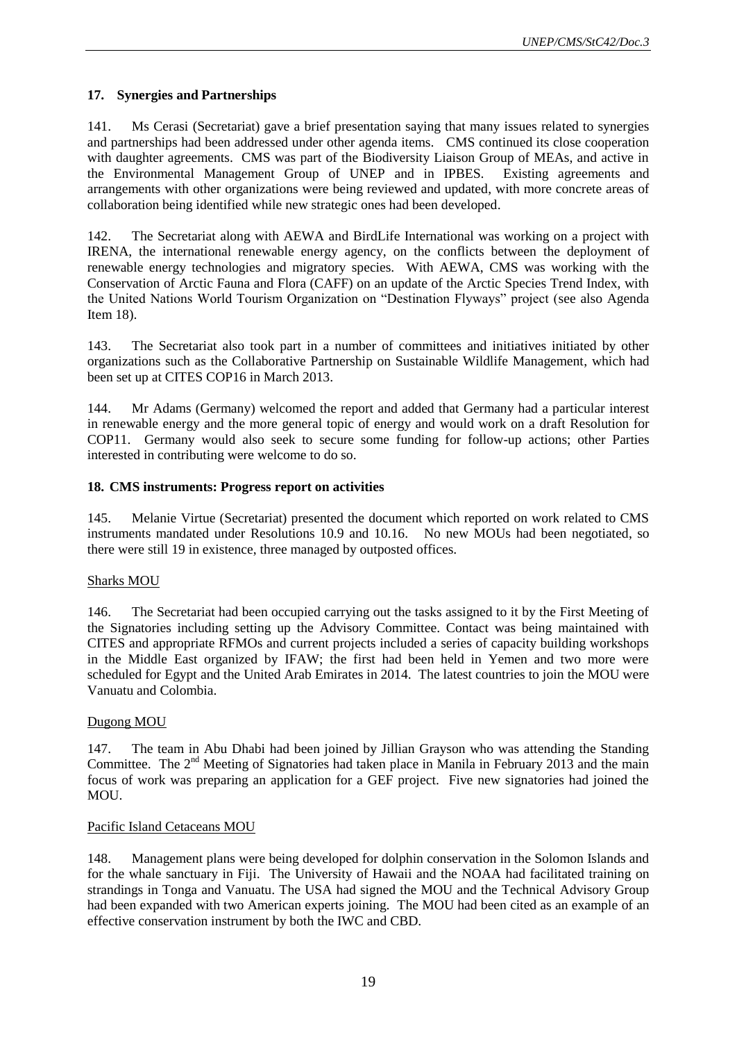### **17. Synergies and Partnerships**

141. Ms Cerasi (Secretariat) gave a brief presentation saying that many issues related to synergies and partnerships had been addressed under other agenda items. CMS continued its close cooperation with daughter agreements. CMS was part of the Biodiversity Liaison Group of MEAs, and active in the Environmental Management Group of UNEP and in IPBES. Existing agreements and arrangements with other organizations were being reviewed and updated, with more concrete areas of collaboration being identified while new strategic ones had been developed.

142. The Secretariat along with AEWA and BirdLife International was working on a project with IRENA, the international renewable energy agency, on the conflicts between the deployment of renewable energy technologies and migratory species. With AEWA, CMS was working with the Conservation of Arctic Fauna and Flora (CAFF) on an update of the Arctic Species Trend Index, with the United Nations World Tourism Organization on "Destination Flyways" project (see also Agenda Item 18).

143. The Secretariat also took part in a number of committees and initiatives initiated by other organizations such as the Collaborative Partnership on Sustainable Wildlife Management, which had been set up at CITES COP16 in March 2013.

144. Mr Adams (Germany) welcomed the report and added that Germany had a particular interest in renewable energy and the more general topic of energy and would work on a draft Resolution for COP11. Germany would also seek to secure some funding for follow-up actions; other Parties interested in contributing were welcome to do so.

### **18. CMS instruments: Progress report on activities**

145. Melanie Virtue (Secretariat) presented the document which reported on work related to CMS instruments mandated under Resolutions 10.9 and 10.16. No new MOUs had been negotiated, so there were still 19 in existence, three managed by outposted offices.

### Sharks MOU

146. The Secretariat had been occupied carrying out the tasks assigned to it by the First Meeting of the Signatories including setting up the Advisory Committee. Contact was being maintained with CITES and appropriate RFMOs and current projects included a series of capacity building workshops in the Middle East organized by IFAW; the first had been held in Yemen and two more were scheduled for Egypt and the United Arab Emirates in 2014. The latest countries to join the MOU were Vanuatu and Colombia.

### Dugong MOU

147. The team in Abu Dhabi had been joined by Jillian Grayson who was attending the Standing Committee. The  $2<sup>nd</sup>$  Meeting of Signatories had taken place in Manila in February 2013 and the main focus of work was preparing an application for a GEF project. Five new signatories had joined the MOU.

### Pacific Island Cetaceans MOU

148. Management plans were being developed for dolphin conservation in the Solomon Islands and for the whale sanctuary in Fiji. The University of Hawaii and the NOAA had facilitated training on strandings in Tonga and Vanuatu. The USA had signed the MOU and the Technical Advisory Group had been expanded with two American experts joining. The MOU had been cited as an example of an effective conservation instrument by both the IWC and CBD.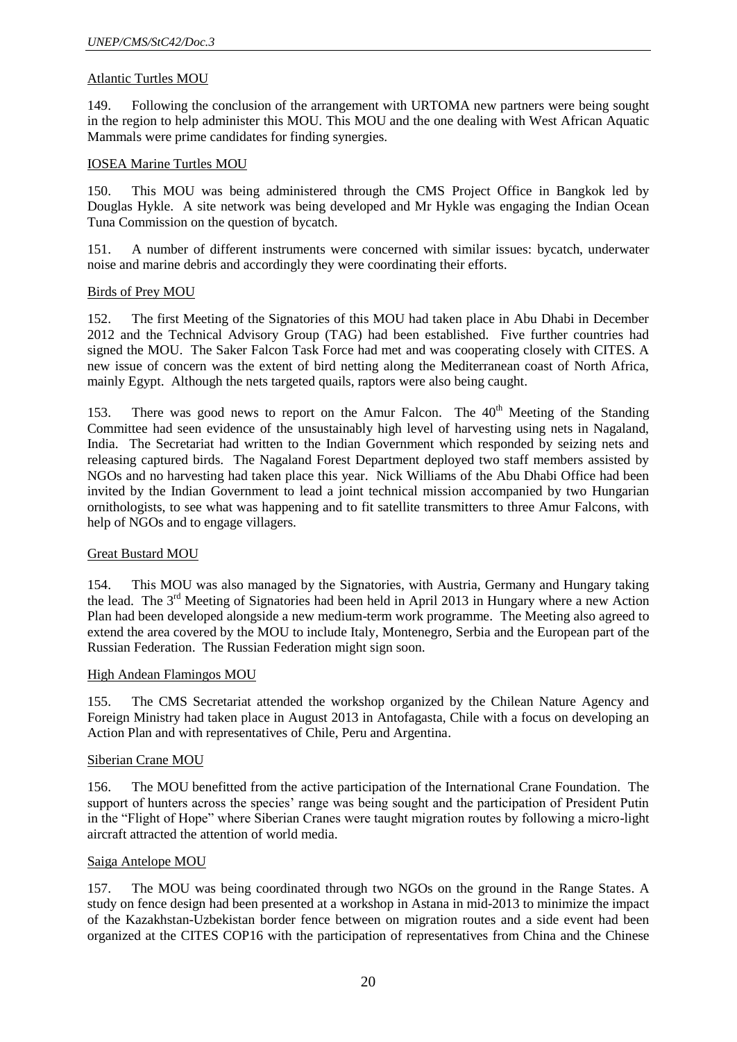#### Atlantic Turtles MOU

149. Following the conclusion of the arrangement with URTOMA new partners were being sought in the region to help administer this MOU. This MOU and the one dealing with West African Aquatic Mammals were prime candidates for finding synergies.

#### IOSEA Marine Turtles MOU

150. This MOU was being administered through the CMS Project Office in Bangkok led by Douglas Hykle. A site network was being developed and Mr Hykle was engaging the Indian Ocean Tuna Commission on the question of bycatch.

151. A number of different instruments were concerned with similar issues: bycatch, underwater noise and marine debris and accordingly they were coordinating their efforts.

#### Birds of Prey MOU

152. The first Meeting of the Signatories of this MOU had taken place in Abu Dhabi in December 2012 and the Technical Advisory Group (TAG) had been established. Five further countries had signed the MOU. The Saker Falcon Task Force had met and was cooperating closely with CITES. A new issue of concern was the extent of bird netting along the Mediterranean coast of North Africa, mainly Egypt. Although the nets targeted quails, raptors were also being caught.

153. There was good news to report on the Amur Falcon. The  $40<sup>th</sup>$  Meeting of the Standing Committee had seen evidence of the unsustainably high level of harvesting using nets in Nagaland, India. The Secretariat had written to the Indian Government which responded by seizing nets and releasing captured birds. The Nagaland Forest Department deployed two staff members assisted by NGOs and no harvesting had taken place this year. Nick Williams of the Abu Dhabi Office had been invited by the Indian Government to lead a joint technical mission accompanied by two Hungarian ornithologists, to see what was happening and to fit satellite transmitters to three Amur Falcons, with help of NGOs and to engage villagers.

#### Great Bustard MOU

154. This MOU was also managed by the Signatories, with Austria, Germany and Hungary taking the lead. The 3<sup>rd</sup> Meeting of Signatories had been held in April 2013 in Hungary where a new Action Plan had been developed alongside a new medium-term work programme. The Meeting also agreed to extend the area covered by the MOU to include Italy, Montenegro, Serbia and the European part of the Russian Federation. The Russian Federation might sign soon.

#### High Andean Flamingos MOU

155. The CMS Secretariat attended the workshop organized by the Chilean Nature Agency and Foreign Ministry had taken place in August 2013 in Antofagasta, Chile with a focus on developing an Action Plan and with representatives of Chile, Peru and Argentina.

#### Siberian Crane MOU

156. The MOU benefitted from the active participation of the International Crane Foundation. The support of hunters across the species' range was being sought and the participation of President Putin in the "Flight of Hope" where Siberian Cranes were taught migration routes by following a micro-light aircraft attracted the attention of world media.

#### Saiga Antelope MOU

157. The MOU was being coordinated through two NGOs on the ground in the Range States. A study on fence design had been presented at a workshop in Astana in mid-2013 to minimize the impact of the Kazakhstan-Uzbekistan border fence between on migration routes and a side event had been organized at the CITES COP16 with the participation of representatives from China and the Chinese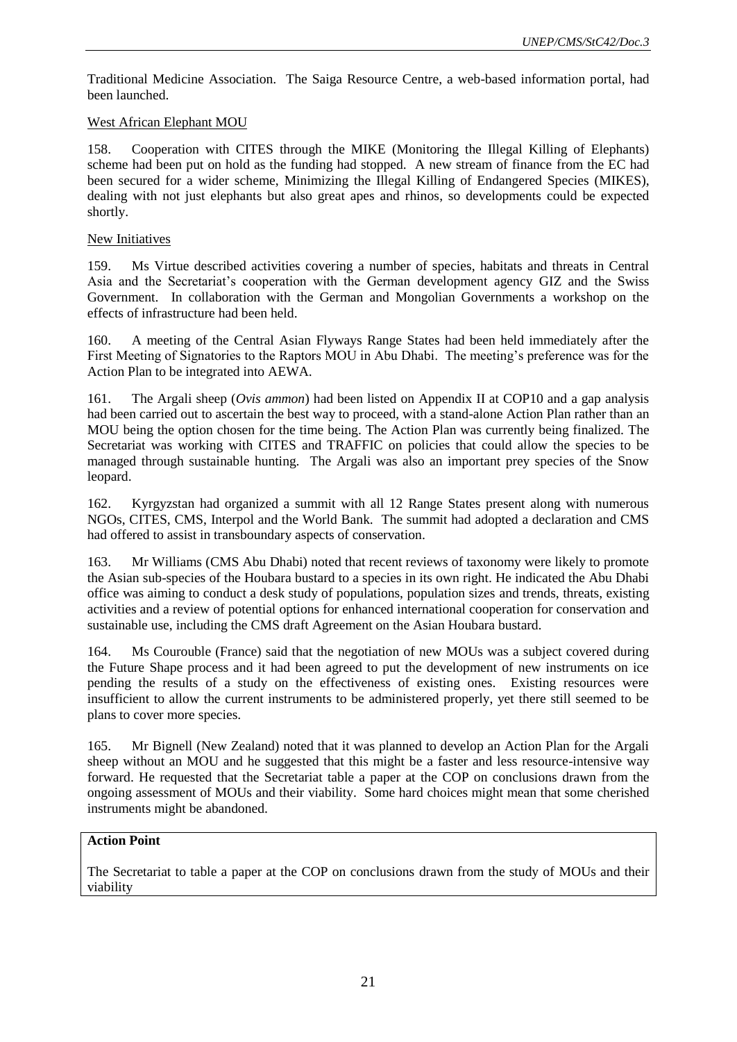Traditional Medicine Association. The Saiga Resource Centre, a web-based information portal, had been launched.

### West African Elephant MOU

158. Cooperation with CITES through the MIKE (Monitoring the Illegal Killing of Elephants) scheme had been put on hold as the funding had stopped. A new stream of finance from the EC had been secured for a wider scheme, Minimizing the Illegal Killing of Endangered Species (MIKES), dealing with not just elephants but also great apes and rhinos, so developments could be expected shortly.

#### New Initiatives

159. Ms Virtue described activities covering a number of species, habitats and threats in Central Asia and the Secretariat's cooperation with the German development agency GIZ and the Swiss Government. In collaboration with the German and Mongolian Governments a workshop on the effects of infrastructure had been held.

160. A meeting of the Central Asian Flyways Range States had been held immediately after the First Meeting of Signatories to the Raptors MOU in Abu Dhabi. The meeting's preference was for the Action Plan to be integrated into AEWA.

161. The Argali sheep (*Ovis ammon*) had been listed on Appendix II at COP10 and a gap analysis had been carried out to ascertain the best way to proceed, with a stand-alone Action Plan rather than an MOU being the option chosen for the time being. The Action Plan was currently being finalized. The Secretariat was working with CITES and TRAFFIC on policies that could allow the species to be managed through sustainable hunting. The Argali was also an important prey species of the Snow leopard.

162. Kyrgyzstan had organized a summit with all 12 Range States present along with numerous NGOs, CITES, CMS, Interpol and the World Bank. The summit had adopted a declaration and CMS had offered to assist in transboundary aspects of conservation.

163. Mr Williams (CMS Abu Dhabi) noted that recent reviews of taxonomy were likely to promote the Asian sub-species of the Houbara bustard to a species in its own right. He indicated the Abu Dhabi office was aiming to conduct a desk study of populations, population sizes and trends, threats, existing activities and a review of potential options for enhanced international cooperation for conservation and sustainable use, including the CMS draft Agreement on the Asian Houbara bustard.

164. Ms Courouble (France) said that the negotiation of new MOUs was a subject covered during the Future Shape process and it had been agreed to put the development of new instruments on ice pending the results of a study on the effectiveness of existing ones. Existing resources were insufficient to allow the current instruments to be administered properly, yet there still seemed to be plans to cover more species.

165. Mr Bignell (New Zealand) noted that it was planned to develop an Action Plan for the Argali sheep without an MOU and he suggested that this might be a faster and less resource-intensive way forward. He requested that the Secretariat table a paper at the COP on conclusions drawn from the ongoing assessment of MOUs and their viability. Some hard choices might mean that some cherished instruments might be abandoned.

### **Action Point**

The Secretariat to table a paper at the COP on conclusions drawn from the study of MOUs and their viability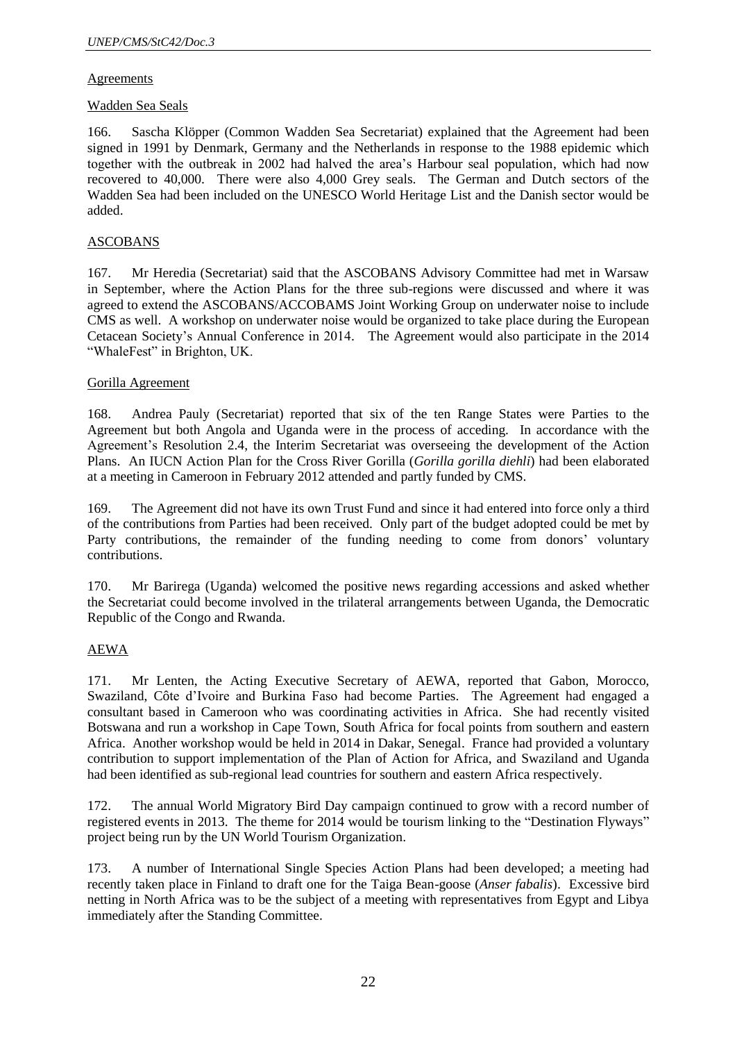### Agreements

### Wadden Sea Seals

166. Sascha Klöpper (Common Wadden Sea Secretariat) explained that the Agreement had been signed in 1991 by Denmark, Germany and the Netherlands in response to the 1988 epidemic which together with the outbreak in 2002 had halved the area's Harbour seal population, which had now recovered to 40,000. There were also 4,000 Grey seals. The German and Dutch sectors of the Wadden Sea had been included on the UNESCO World Heritage List and the Danish sector would be added.

### ASCOBANS

167. Mr Heredia (Secretariat) said that the ASCOBANS Advisory Committee had met in Warsaw in September, where the Action Plans for the three sub-regions were discussed and where it was agreed to extend the ASCOBANS/ACCOBAMS Joint Working Group on underwater noise to include CMS as well. A workshop on underwater noise would be organized to take place during the European Cetacean Society's Annual Conference in 2014. The Agreement would also participate in the 2014 "WhaleFest" in Brighton, UK.

#### Gorilla Agreement

168. Andrea Pauly (Secretariat) reported that six of the ten Range States were Parties to the Agreement but both Angola and Uganda were in the process of acceding. In accordance with the Agreement's Resolution 2.4, the Interim Secretariat was overseeing the development of the Action Plans. An IUCN Action Plan for the Cross River Gorilla (*Gorilla gorilla diehli*) had been elaborated at a meeting in Cameroon in February 2012 attended and partly funded by CMS.

169. The Agreement did not have its own Trust Fund and since it had entered into force only a third of the contributions from Parties had been received. Only part of the budget adopted could be met by Party contributions, the remainder of the funding needing to come from donors' voluntary contributions.

170. Mr Barirega (Uganda) welcomed the positive news regarding accessions and asked whether the Secretariat could become involved in the trilateral arrangements between Uganda, the Democratic Republic of the Congo and Rwanda.

### AEWA

171. Mr Lenten, the Acting Executive Secretary of AEWA, reported that Gabon, Morocco, Swaziland, Côte d'Ivoire and Burkina Faso had become Parties. The Agreement had engaged a consultant based in Cameroon who was coordinating activities in Africa. She had recently visited Botswana and run a workshop in Cape Town, South Africa for focal points from southern and eastern Africa. Another workshop would be held in 2014 in Dakar, Senegal. France had provided a voluntary contribution to support implementation of the Plan of Action for Africa, and Swaziland and Uganda had been identified as sub-regional lead countries for southern and eastern Africa respectively.

172. The annual World Migratory Bird Day campaign continued to grow with a record number of registered events in 2013. The theme for 2014 would be tourism linking to the "Destination Flyways" project being run by the UN World Tourism Organization.

173. A number of International Single Species Action Plans had been developed; a meeting had recently taken place in Finland to draft one for the Taiga Bean-goose (*Anser fabalis*). Excessive bird netting in North Africa was to be the subject of a meeting with representatives from Egypt and Libya immediately after the Standing Committee.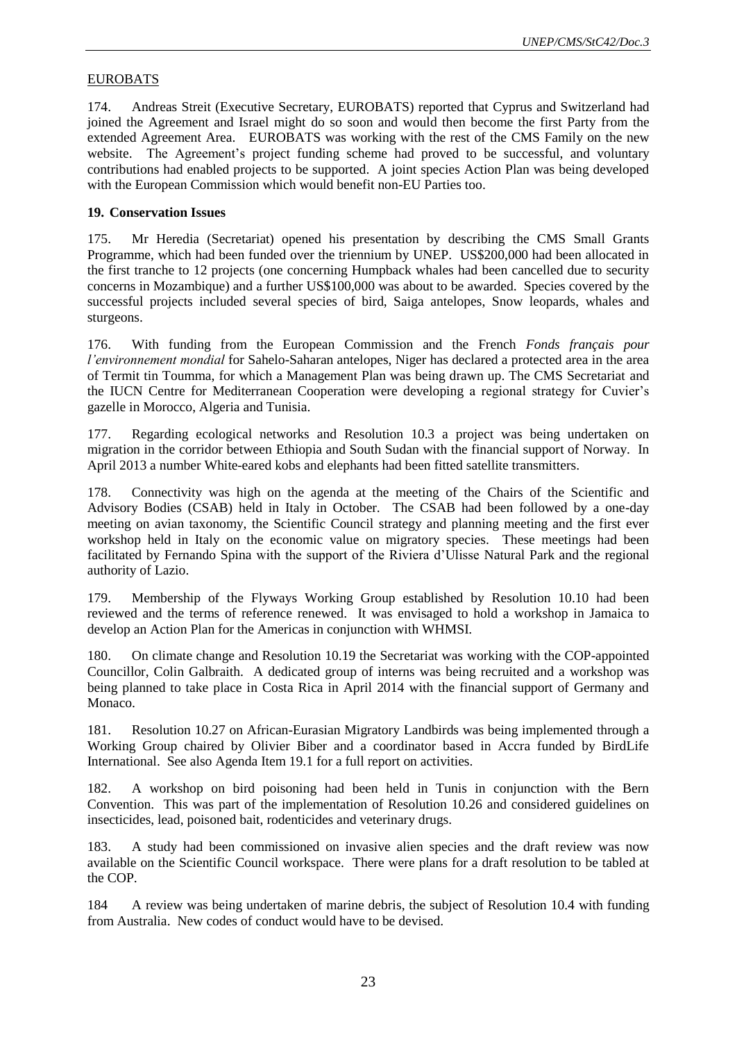### EUROBATS

174. Andreas Streit (Executive Secretary, EUROBATS) reported that Cyprus and Switzerland had joined the Agreement and Israel might do so soon and would then become the first Party from the extended Agreement Area. EUROBATS was working with the rest of the CMS Family on the new website. The Agreement's project funding scheme had proved to be successful, and voluntary contributions had enabled projects to be supported. A joint species Action Plan was being developed with the European Commission which would benefit non-EU Parties too.

#### **19. Conservation Issues**

175. Mr Heredia (Secretariat) opened his presentation by describing the CMS Small Grants Programme, which had been funded over the triennium by UNEP. US\$200,000 had been allocated in the first tranche to 12 projects (one concerning Humpback whales had been cancelled due to security concerns in Mozambique) and a further US\$100,000 was about to be awarded. Species covered by the successful projects included several species of bird, Saiga antelopes, Snow leopards, whales and sturgeons.

176. With funding from the European Commission and the French *Fonds français pour l'environnement mondial* for Sahelo-Saharan antelopes, Niger has declared a protected area in the area of Termit tin Toumma, for which a Management Plan was being drawn up. The CMS Secretariat and the IUCN Centre for Mediterranean Cooperation were developing a regional strategy for Cuvier's gazelle in Morocco, Algeria and Tunisia.

177. Regarding ecological networks and Resolution 10.3 a project was being undertaken on migration in the corridor between Ethiopia and South Sudan with the financial support of Norway. In April 2013 a number White-eared kobs and elephants had been fitted satellite transmitters.

178. Connectivity was high on the agenda at the meeting of the Chairs of the Scientific and Advisory Bodies (CSAB) held in Italy in October. The CSAB had been followed by a one-day meeting on avian taxonomy, the Scientific Council strategy and planning meeting and the first ever workshop held in Italy on the economic value on migratory species. These meetings had been facilitated by Fernando Spina with the support of the Riviera d'Ulisse Natural Park and the regional authority of Lazio.

179. Membership of the Flyways Working Group established by Resolution 10.10 had been reviewed and the terms of reference renewed. It was envisaged to hold a workshop in Jamaica to develop an Action Plan for the Americas in conjunction with WHMSI.

180. On climate change and Resolution 10.19 the Secretariat was working with the COP-appointed Councillor, Colin Galbraith. A dedicated group of interns was being recruited and a workshop was being planned to take place in Costa Rica in April 2014 with the financial support of Germany and Monaco.

181. Resolution 10.27 on African-Eurasian Migratory Landbirds was being implemented through a Working Group chaired by Olivier Biber and a coordinator based in Accra funded by BirdLife International. See also Agenda Item 19.1 for a full report on activities.

182. A workshop on bird poisoning had been held in Tunis in conjunction with the Bern Convention. This was part of the implementation of Resolution 10.26 and considered guidelines on insecticides, lead, poisoned bait, rodenticides and veterinary drugs.

183. A study had been commissioned on invasive alien species and the draft review was now available on the Scientific Council workspace. There were plans for a draft resolution to be tabled at the COP.

184 A review was being undertaken of marine debris, the subject of Resolution 10.4 with funding from Australia. New codes of conduct would have to be devised.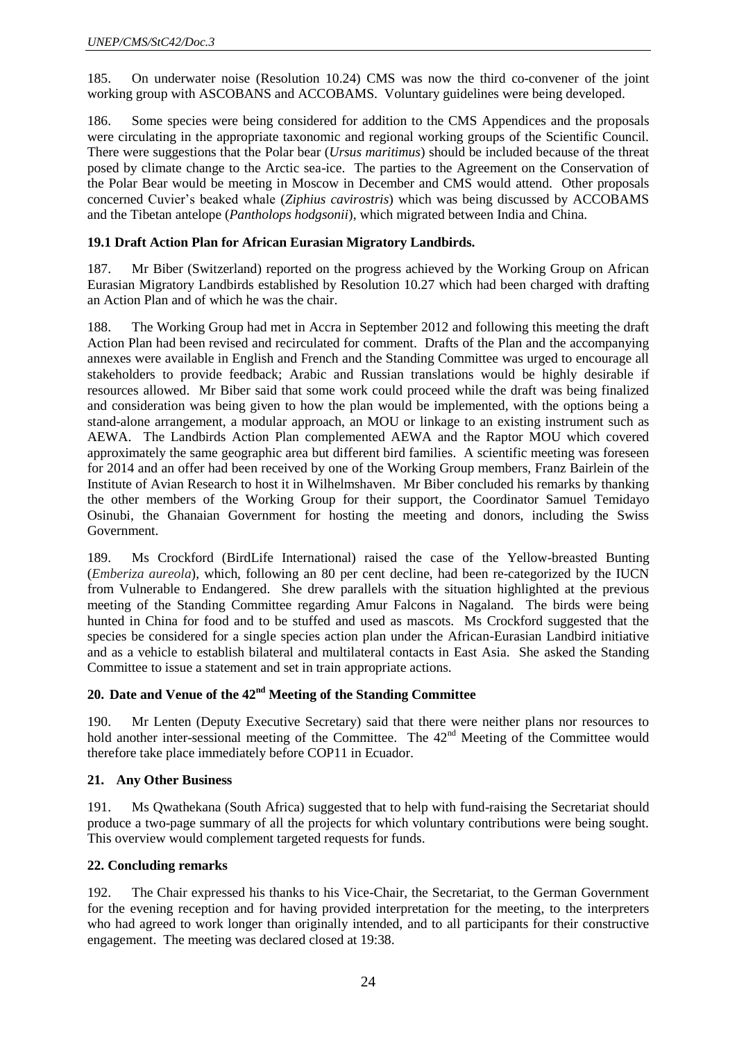185. On underwater noise (Resolution 10.24) CMS was now the third co-convener of the joint working group with ASCOBANS and ACCOBAMS. Voluntary guidelines were being developed.

186. Some species were being considered for addition to the CMS Appendices and the proposals were circulating in the appropriate taxonomic and regional working groups of the Scientific Council. There were suggestions that the Polar bear (*Ursus maritimus*) should be included because of the threat posed by climate change to the Arctic sea-ice. The parties to the Agreement on the Conservation of the Polar Bear would be meeting in Moscow in December and CMS would attend. Other proposals concerned Cuvier's beaked whale (*Ziphius cavirostris*) which was being discussed by ACCOBAMS and the Tibetan antelope (*Pantholops hodgsonii*), which migrated between India and China.

### **19.1 Draft Action Plan for African Eurasian Migratory Landbirds.**

187. Mr Biber (Switzerland) reported on the progress achieved by the Working Group on African Eurasian Migratory Landbirds established by Resolution 10.27 which had been charged with drafting an Action Plan and of which he was the chair.

188. The Working Group had met in Accra in September 2012 and following this meeting the draft Action Plan had been revised and recirculated for comment. Drafts of the Plan and the accompanying annexes were available in English and French and the Standing Committee was urged to encourage all stakeholders to provide feedback; Arabic and Russian translations would be highly desirable if resources allowed. Mr Biber said that some work could proceed while the draft was being finalized and consideration was being given to how the plan would be implemented, with the options being a stand-alone arrangement, a modular approach, an MOU or linkage to an existing instrument such as AEWA. The Landbirds Action Plan complemented AEWA and the Raptor MOU which covered approximately the same geographic area but different bird families. A scientific meeting was foreseen for 2014 and an offer had been received by one of the Working Group members, Franz Bairlein of the Institute of Avian Research to host it in Wilhelmshaven. Mr Biber concluded his remarks by thanking the other members of the Working Group for their support, the Coordinator Samuel Temidayo Osinubi, the Ghanaian Government for hosting the meeting and donors, including the Swiss Government.

189. Ms Crockford (BirdLife International) raised the case of the Yellow-breasted Bunting (*Emberiza aureola*), which, following an 80 per cent decline, had been re-categorized by the IUCN from Vulnerable to Endangered. She drew parallels with the situation highlighted at the previous meeting of the Standing Committee regarding Amur Falcons in Nagaland. The birds were being hunted in China for food and to be stuffed and used as mascots. Ms Crockford suggested that the species be considered for a single species action plan under the African-Eurasian Landbird initiative and as a vehicle to establish bilateral and multilateral contacts in East Asia. She asked the Standing Committee to issue a statement and set in train appropriate actions.

### **20. Date and Venue of the 42nd Meeting of the Standing Committee**

190. Mr Lenten (Deputy Executive Secretary) said that there were neither plans nor resources to hold another inter-sessional meeting of the Committee. The 42<sup>nd</sup> Meeting of the Committee would therefore take place immediately before COP11 in Ecuador.

### **21. Any Other Business**

191. Ms Qwathekana (South Africa) suggested that to help with fund-raising the Secretariat should produce a two-page summary of all the projects for which voluntary contributions were being sought. This overview would complement targeted requests for funds.

### **22. Concluding remarks**

192. The Chair expressed his thanks to his Vice-Chair, the Secretariat, to the German Government for the evening reception and for having provided interpretation for the meeting, to the interpreters who had agreed to work longer than originally intended, and to all participants for their constructive engagement. The meeting was declared closed at 19:38.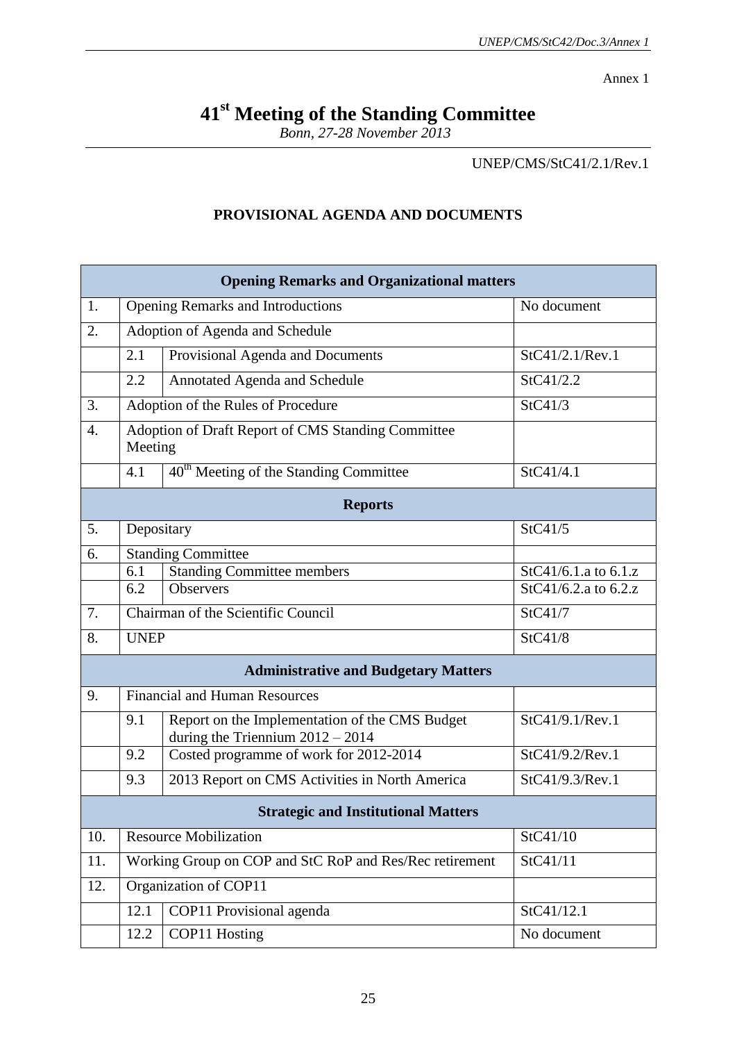Annex 1

## **41st Meeting of the Standing Committee**

*Bonn, 27-28 November 2013*

UNEP/CMS/StC41/2.1/Rev.1

### **PROVISIONAL AGENDA AND DOCUMENTS**

| <b>Opening Remarks and Organizational matters</b> |                                                               |                                                                                      |                        |  |  |  |
|---------------------------------------------------|---------------------------------------------------------------|--------------------------------------------------------------------------------------|------------------------|--|--|--|
| 1.                                                |                                                               | <b>Opening Remarks and Introductions</b>                                             | No document            |  |  |  |
| 2.                                                | Adoption of Agenda and Schedule                               |                                                                                      |                        |  |  |  |
|                                                   | 2.1                                                           | Provisional Agenda and Documents                                                     | StC41/2.1/Rev.1        |  |  |  |
|                                                   | 2.2                                                           | Annotated Agenda and Schedule                                                        | StC41/2.2              |  |  |  |
| 3.                                                | StC41/3<br>Adoption of the Rules of Procedure                 |                                                                                      |                        |  |  |  |
| $\overline{4}$ .                                  | Adoption of Draft Report of CMS Standing Committee<br>Meeting |                                                                                      |                        |  |  |  |
|                                                   | 4.1                                                           | 40 <sup>th</sup> Meeting of the Standing Committee                                   | StC41/4.1              |  |  |  |
| <b>Reports</b>                                    |                                                               |                                                                                      |                        |  |  |  |
| 5.                                                | Depositary                                                    |                                                                                      | StC41/5                |  |  |  |
| 6.                                                | <b>Standing Committee</b>                                     |                                                                                      |                        |  |  |  |
|                                                   | 6.1                                                           | <b>Standing Committee members</b>                                                    | StC41/6.1.a to $6.1.z$ |  |  |  |
|                                                   | 6.2                                                           | <b>Observers</b>                                                                     | StC41/6.2.a to 6.2.z   |  |  |  |
| 7.                                                | Chairman of the Scientific Council<br>StC41/7                 |                                                                                      |                        |  |  |  |
| 8.                                                | <b>UNEP</b>                                                   |                                                                                      | StC41/8                |  |  |  |
| <b>Administrative and Budgetary Matters</b>       |                                                               |                                                                                      |                        |  |  |  |
| 9.                                                | <b>Financial and Human Resources</b>                          |                                                                                      |                        |  |  |  |
|                                                   | 9.1                                                           | Report on the Implementation of the CMS Budget<br>during the Triennium $2012 - 2014$ | StC41/9.1/Rev.1        |  |  |  |
|                                                   | 9.2                                                           | Costed programme of work for 2012-2014                                               | StC41/9.2/Rev.1        |  |  |  |
|                                                   | 9.3                                                           | 2013 Report on CMS Activities in North America                                       | StC41/9.3/Rev.1        |  |  |  |
| <b>Strategic and Institutional Matters</b>        |                                                               |                                                                                      |                        |  |  |  |
| 10.                                               | <b>Resource Mobilization</b>                                  |                                                                                      | StC41/10               |  |  |  |
| 11.                                               |                                                               | Working Group on COP and StC RoP and Res/Rec retirement<br>StC41/11                  |                        |  |  |  |
| 12.                                               |                                                               | Organization of COP11                                                                |                        |  |  |  |
|                                                   | 12.1                                                          | COP11 Provisional agenda                                                             | StC41/12.1             |  |  |  |
|                                                   | 12.2                                                          | COP11 Hosting                                                                        | No document            |  |  |  |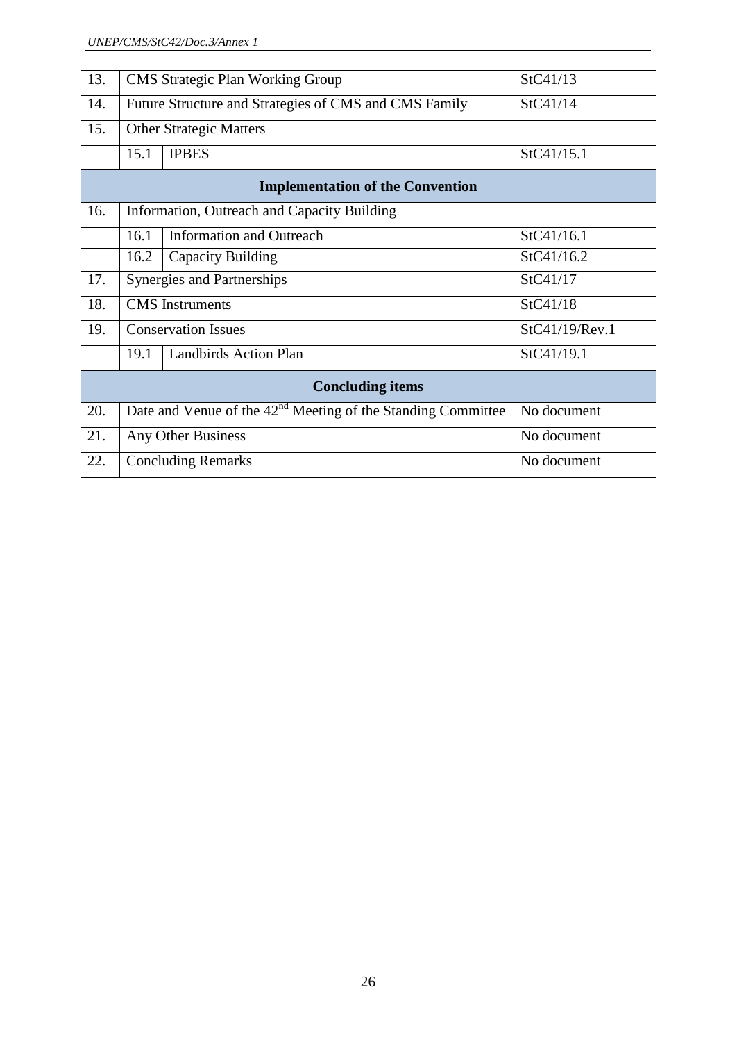| 13.                                     |                                | <b>CMS</b> Strategic Plan Working Group                                       | StC41/13       |  |  |  |
|-----------------------------------------|--------------------------------|-------------------------------------------------------------------------------|----------------|--|--|--|
| 14.                                     |                                | Future Structure and Strategies of CMS and CMS Family                         | StC41/14       |  |  |  |
| 15.                                     | <b>Other Strategic Matters</b> |                                                                               |                |  |  |  |
|                                         | 15.1                           | <b>IPBES</b>                                                                  | StC41/15.1     |  |  |  |
| <b>Implementation of the Convention</b> |                                |                                                                               |                |  |  |  |
| 16.                                     |                                | Information, Outreach and Capacity Building                                   |                |  |  |  |
|                                         | 16.1                           | <b>Information and Outreach</b>                                               | StC41/16.1     |  |  |  |
|                                         | 16.2                           | Capacity Building                                                             | StC41/16.2     |  |  |  |
| 17.                                     | Synergies and Partnerships     |                                                                               | StC41/17       |  |  |  |
| 18.                                     | <b>CMS</b> Instruments         |                                                                               | StC41/18       |  |  |  |
| 19.                                     | <b>Conservation Issues</b>     |                                                                               | StC41/19/Rev.1 |  |  |  |
|                                         | 19.1                           | <b>Landbirds Action Plan</b>                                                  | StC41/19.1     |  |  |  |
| <b>Concluding items</b>                 |                                |                                                                               |                |  |  |  |
| 20.                                     |                                | Date and Venue of the $42nd$ Meeting of the Standing Committee<br>No document |                |  |  |  |
| 21.                                     | Any Other Business             |                                                                               | No document    |  |  |  |
| 22.                                     |                                | <b>Concluding Remarks</b><br>No document                                      |                |  |  |  |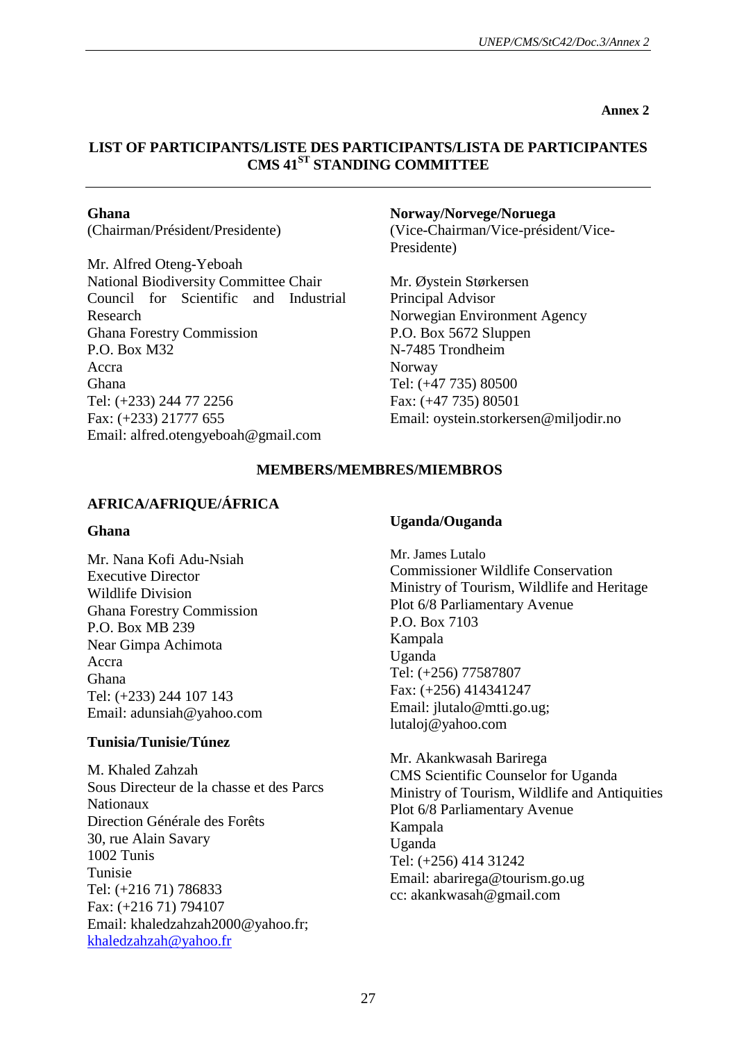**Annex 2**

### **LIST OF PARTICIPANTS/LISTE DES PARTICIPANTS/LISTA DE PARTICIPANTES CMS 41ST STANDING COMMITTEE**

### **Ghana**

(Chairman/Président/Presidente)

Mr. Alfred Oteng-Yeboah National Biodiversity Committee Chair Council for Scientific and Industrial Research Ghana Forestry Commission P.O. Box M32 Accra Ghana Tel: (+233) 244 77 2256 Fax: (+233) 21777 655 Email: alfred.otengyeboah@gmail.com

### **Norway/Norvege/Noruega**

(Vice-Chairman/Vice-président/Vice-Presidente)

Mr. Øystein Størkersen Principal Advisor Norwegian Environment Agency P.O. Box 5672 Sluppen N-7485 Trondheim Norway Tel: (+47 735) 80500 Fax: (+47 735) 80501 Email: oystein.storkersen@miljodir.no

### **MEMBERS/MEMBRES/MIEMBROS**

### **AFRICA/AFRIQUE/ÁFRICA**

### **Ghana**

Mr. Nana Kofi Adu-Nsiah Executive Director Wildlife Division Ghana Forestry Commission P.O. Box MB 239 Near Gimpa Achimota Accra Ghana Tel: (+233) 244 107 143 Email: adunsiah@yahoo.com

### **Tunisia/Tunisie/Túnez**

M. Khaled Zahzah Sous Directeur de la chasse et des Parcs Nationaux Direction Générale des Forêts 30, rue Alain Savary 1002 Tunis Tunisie Tel: (+216 71) 786833 Fax: (+216 71) 794107 Email: khaledzahzah2000@yahoo.fr; [khaledzahzah@yahoo.fr](mailto:khaledzahzah@yahoo.fr)

### **Uganda/Ouganda**

Mr. James Lutalo Commissioner Wildlife Conservation Ministry of Tourism, Wildlife and Heritage Plot 6/8 Parliamentary Avenue P.O. Box 7103 Kampala Uganda Tel: (+256) 77587807 Fax: (+256) 414341247 Email: jlutalo@mtti.go.ug; lutaloj@yahoo.com

Mr. Akankwasah Barirega CMS Scientific Counselor for Uganda Ministry of Tourism, Wildlife and Antiquities Plot 6/8 Parliamentary Avenue Kampala Uganda Tel: (+256) 414 31242 Email: abarirega@tourism.go.ug cc: akankwasah@gmail.com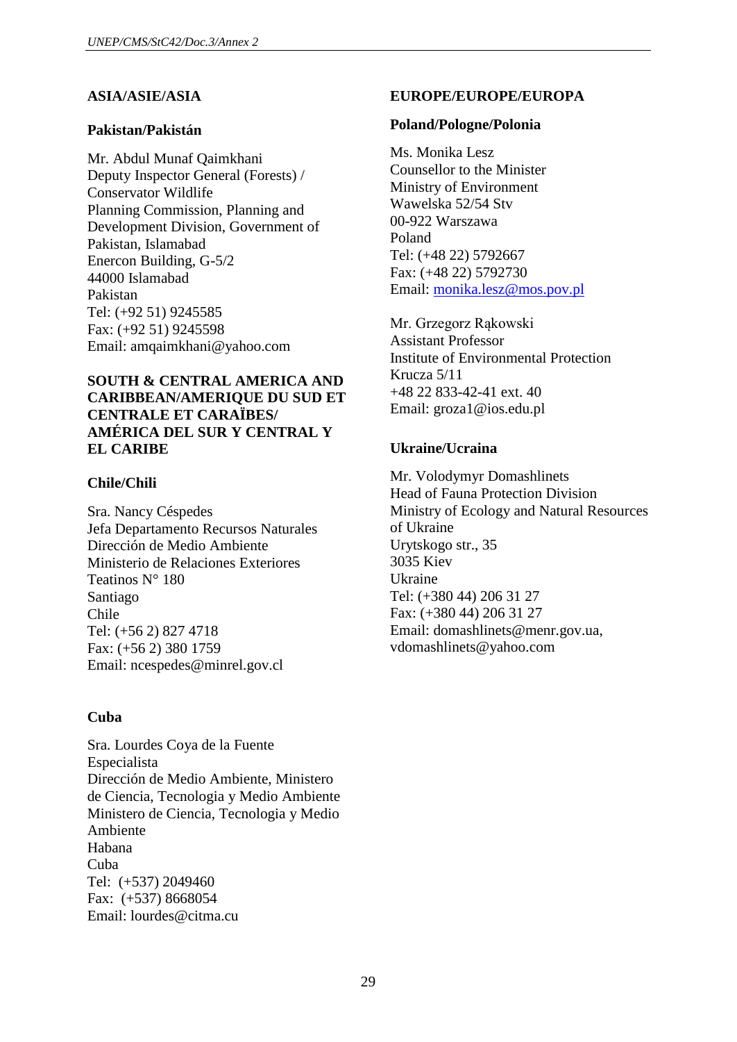### **ASIA/ASIE/ASIA**

### **Pakistan/Pakistán**

Mr. Abdul Munaf Qaimkhani Deputy Inspector General (Forests) / Conservator Wildlife Planning Commission, Planning and Development Division, Government of Pakistan, Islamabad Enercon Building, G-5/2 44000 Islamabad Pakistan Tel: (+92 51) 9245585 Fax: (+92 51) 9245598 Email: amqaimkhani@yahoo.com

### **SOUTH & CENTRAL AMERICA AND CARIBBEAN/AMERIQUE DU SUD ET CENTRALE ET CARAÏBES/ AMÉRICA DEL SUR Y CENTRAL Y EL CARIBE**

### **Chile/Chili**

Sra. Nancy Céspedes Jefa Departamento Recursos Naturales Dirección de Medio Ambiente Ministerio de Relaciones Exteriores Teatinos N° 180 Santiago Chile Tel: (+56 2) 827 4718 Fax: (+56 2) 380 1759 Email: ncespedes@minrel.gov.cl

### **Cuba**

Sra. Lourdes Coya de la Fuente Especialista Dirección de Medio Ambiente, Ministero de Ciencia, Tecnologia y Medio Ambiente Ministero de Ciencia, Tecnologia y Medio Ambiente Habana Cuba Tel: (+537) 2049460 Fax: (+537) 8668054 Email: lourdes@citma.cu

### **EUROPE/EUROPE/EUROPA**

#### **Poland/Pologne/Polonia**

Ms. Monika Lesz Counsellor to the Minister Ministry of Environment Wawelska 52/54 Stv 00-922 Warszawa Poland Tel: (+48 22) 5792667 Fax: (+48 22) 5792730 Email: [monika.lesz@mos.pov.pl](mailto:monika.lesz@mos.pov.pl)

Mr. Grzegorz Rąkowski Assistant Professor Institute of Environmental Protection Krucza 5/11 +48 22 833-42-41 ext. 40 Email: groza1@ios.edu.pl

### **Ukraine/Ucraina**

Mr. Volodymyr Domashlinets Head of Fauna Protection Division Ministry of Ecology and Natural Resources of Ukraine Urytskogo str., 35 3035 Kiev Ukraine Tel: (+380 44) 206 31 27 Fax: (+380 44) 206 31 27 Email: domashlinets@menr.gov.ua, vdomashlinets@yahoo.com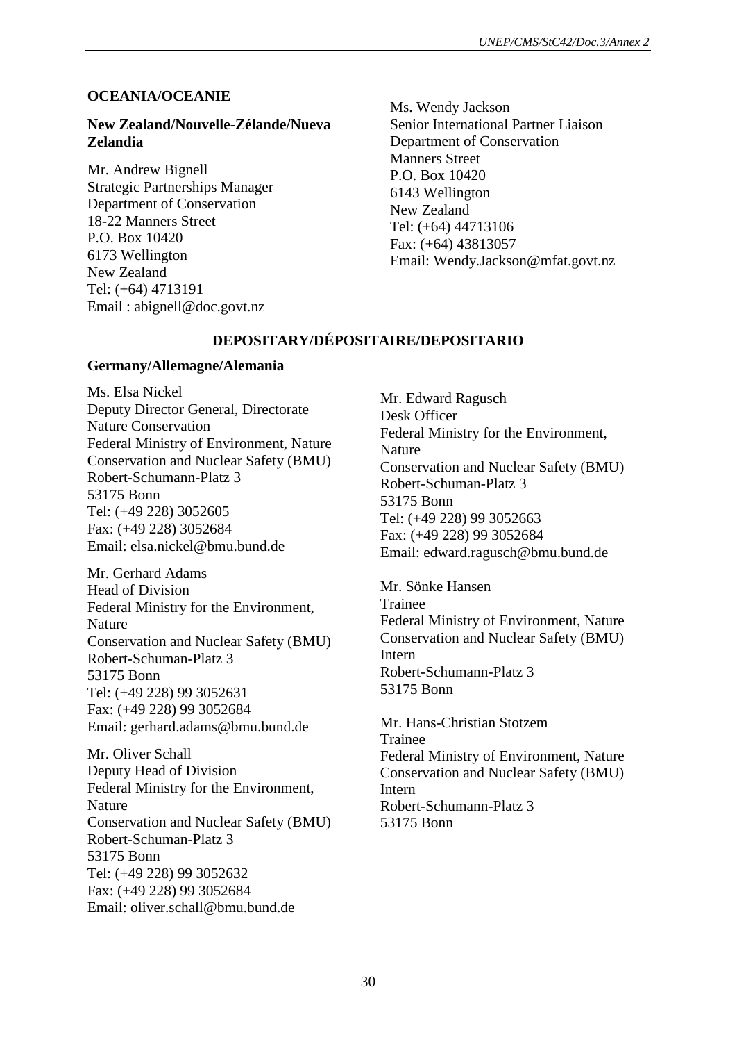### **OCEANIA/OCEANIE**

### **New Zealand/Nouvelle-Zélande/Nueva Zelandia**

Mr. Andrew Bignell Strategic Partnerships Manager Department of Conservation 18-22 Manners Street P.O. Box 10420 6173 Wellington New Zealand Tel: (+64) 4713191 Email : abignell@doc.govt.nz

Ms. Wendy Jackson Senior International Partner Liaison Department of Conservation Manners Street P.O. Box 10420 6143 Wellington New Zealand Tel: (+64) 44713106 Fax: (+64) 43813057 Email: Wendy.Jackson@mfat.govt.nz

### **DEPOSITARY/DÉPOSITAIRE/DEPOSITARIO**

### **Germany/Allemagne/Alemania**

Ms. Elsa Nickel Deputy Director General, Directorate Nature Conservation Federal Ministry of Environment, Nature Conservation and Nuclear Safety (BMU) Robert-Schumann-Platz 3 53175 Bonn Tel: (+49 228) 3052605 Fax: (+49 228) 3052684 Email: elsa.nickel@bmu.bund.de

Mr. Gerhard Adams Head of Division Federal Ministry for the Environment, Nature Conservation and Nuclear Safety (BMU) Robert-Schuman-Platz 3 53175 Bonn Tel: (+49 228) 99 3052631 Fax: (+49 228) 99 3052684 Email: gerhard.adams@bmu.bund.de

Mr. Oliver Schall Deputy Head of Division Federal Ministry for the Environment, Nature Conservation and Nuclear Safety (BMU) Robert-Schuman-Platz 3 53175 Bonn Tel: (+49 228) 99 3052632 Fax: (+49 228) 99 3052684 Email: oliver.schall@bmu.bund.de

Mr. Edward Ragusch Desk Officer Federal Ministry for the Environment, Nature Conservation and Nuclear Safety (BMU) Robert-Schuman-Platz 3 53175 Bonn Tel: (+49 228) 99 3052663 Fax: (+49 228) 99 3052684 Email: edward.ragusch@bmu.bund.de

Mr. Sönke Hansen Trainee Federal Ministry of Environment, Nature Conservation and Nuclear Safety (BMU) Intern Robert-Schumann-Platz 3 53175 Bonn

Mr. Hans-Christian Stotzem Trainee Federal Ministry of Environment, Nature Conservation and Nuclear Safety (BMU) Intern Robert-Schumann-Platz 3 53175 Bonn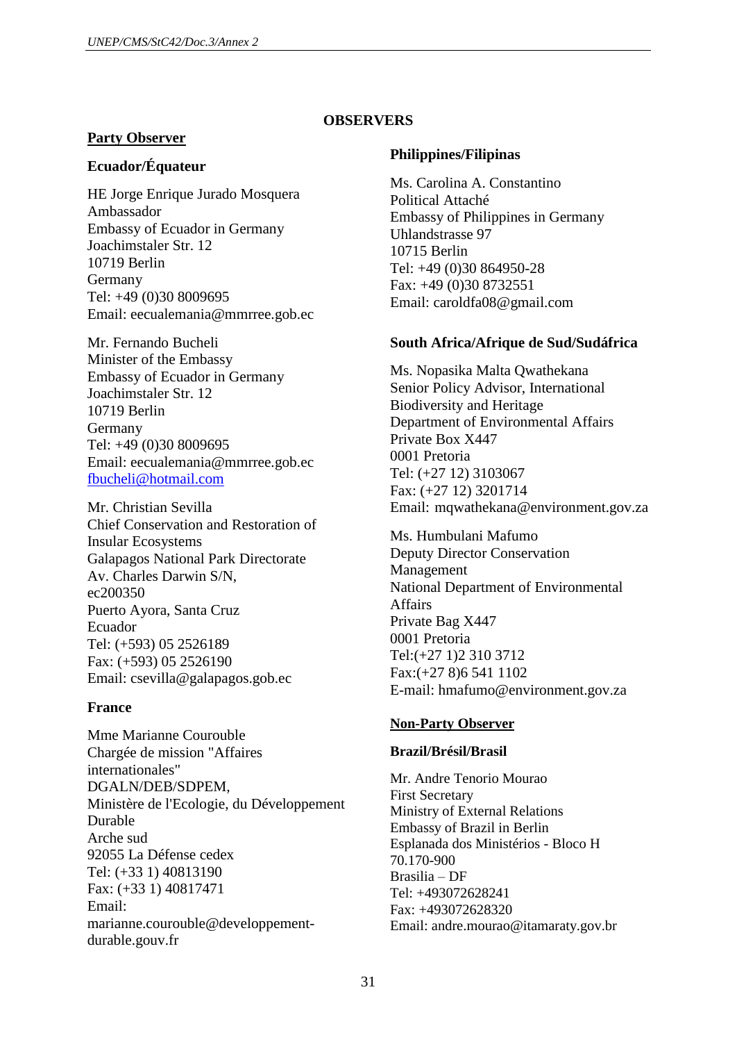### **OBSERVERS**

### **Party Observer**

### **Ecuador/Équateur**

HE Jorge Enrique Jurado Mosquera Ambassador Embassy of Ecuador in Germany Joachimstaler Str. 12 10719 Berlin Germany Tel: +49 (0)30 8009695 Email: eecualemania@mmrree.gob.ec

Mr. Fernando Bucheli Minister of the Embassy Embassy of Ecuador in Germany Joachimstaler Str. 12 10719 Berlin Germany Tel: +49 (0)30 8009695 Email: eecualemania@mmrree.gob.ec [fbucheli@hotmail.com](mailto:fbucheli@hotmail.com)

Mr. Christian Sevilla Chief Conservation and Restoration of Insular Ecosystems Galapagos National Park Directorate Av. Charles Darwin S/N, ec200350 Puerto Ayora, Santa Cruz Ecuador Tel: (+593) 05 2526189 Fax: (+593) 05 2526190 Email: csevilla@galapagos.gob.ec

### **France**

Mme Marianne Courouble Chargée de mission "Affaires internationales" DGALN/DEB/SDPEM, Ministère de l'Ecologie, du Développement Durable Arche sud 92055 La Défense cedex Tel: (+33 1) 40813190 Fax: (+33 1) 40817471 Email: marianne.courouble@developpementdurable.gouv.fr

### **Philippines/Filipinas**

Ms. Carolina A. Constantino Political Attaché Embassy of Philippines in Germany Uhlandstrasse 97 10715 Berlin Tel: +49 (0)30 864950-28 Fax: +49 (0)30 8732551 Email: caroldfa08@gmail.com

### **South Africa/Afrique de Sud/Sudáfrica**

Ms. Nopasika Malta Qwathekana Senior Policy Advisor, International Biodiversity and Heritage Department of Environmental Affairs Private Box X447 0001 Pretoria Tel: (+27 12) 3103067 Fax: (+27 12) 3201714 Email: mqwathekana@environment.gov.za

Ms. Humbulani Mafumo Deputy Director Conservation Management National Department of Environmental Affairs Private Bag X447 0001 Pretoria Tel:(+27 1)2 310 3712 Fax:(+27 8)6 541 1102 E-mail: hmafumo@environment.gov.za

### **Non-Party Observer**

### **Brazil/Brésil/Brasil**

Mr. Andre Tenorio Mourao First Secretary Ministry of External Relations Embassy of Brazil in Berlin Esplanada dos Ministérios - Bloco H 70.170-900 Brasilia – DF Tel: +493072628241 Fax: +493072628320 Email: andre.mourao@itamaraty.gov.br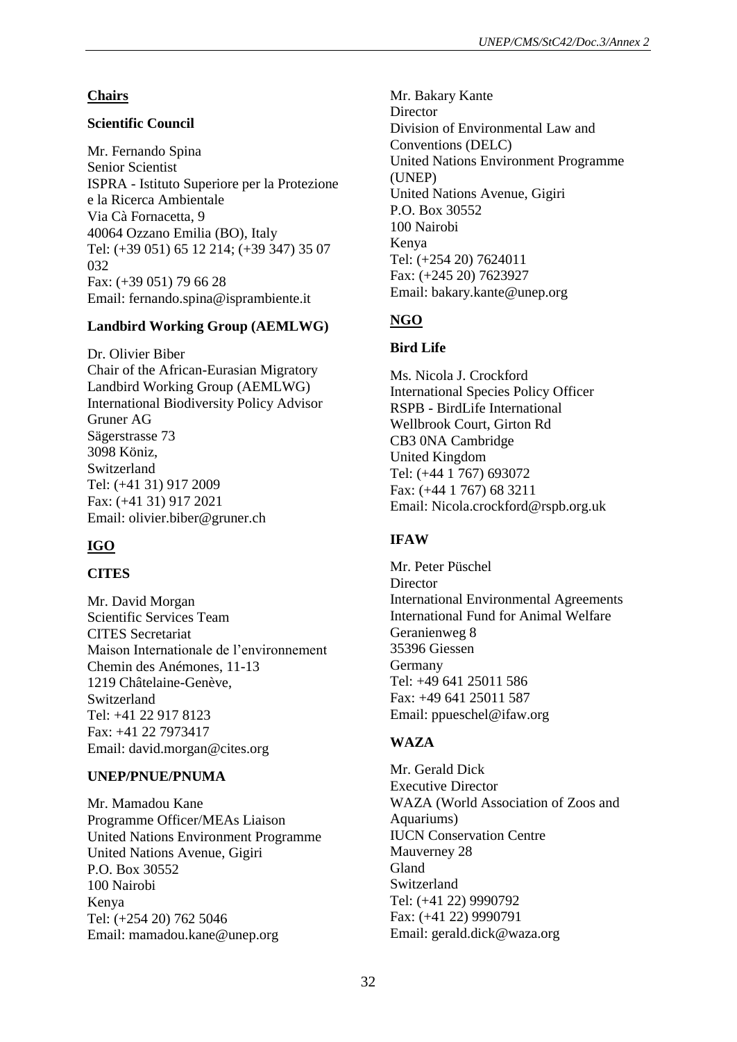### **Chairs**

### **Scientific Council**

Mr. Fernando Spina Senior Scientist ISPRA - Istituto Superiore per la Protezione e la Ricerca Ambientale Via Cà Fornacetta, 9 40064 Ozzano Emilia (BO), Italy Tel: (+39 051) 65 12 214; (+39 347) 35 07 032 Fax: (+39 051) 79 66 28 Email: fernando.spina@isprambiente.it

### **Landbird Working Group (AEMLWG)**

Dr. Olivier Biber Chair of the African-Eurasian Migratory Landbird Working Group (AEMLWG) International Biodiversity Policy Advisor Gruner AG Sägerstrasse 73 3098 Köniz, Switzerland Tel: (+41 31) 917 2009 Fax: (+41 31) 917 2021 Email: olivier.biber@gruner.ch

### **IGO**

### **CITES**

Mr. David Morgan Scientific Services Team CITES Secretariat Maison Internationale de l'environnement Chemin des Anémones, 11-13 1219 Châtelaine-Genève, Switzerland Tel: +41 22 917 8123 Fax: +41 22 7973417 Email: david.morgan@cites.org

### **UNEP/PNUE/PNUMA**

Mr. Mamadou Kane Programme Officer/MEAs Liaison United Nations Environment Programme United Nations Avenue, Gigiri P.O. Box 30552 100 Nairobi Kenya Tel: (+254 20) 762 5046 Email: [mamadou.kane@unep.org](mailto:mamadou.kane@unep.org)

Mr. Bakary Kante **Director** Division of Environmental Law and Conventions (DELC) United Nations Environment Programme (UNEP) United Nations Avenue, Gigiri P.O. Box 30552 100 Nairobi Kenya Tel: (+254 20) 7624011 Fax: (+245 20) 7623927 Email: bakary.kante@unep.org

### **NGO**

### **Bird Life**

Ms. Nicola J. Crockford International Species Policy Officer RSPB - BirdLife International Wellbrook Court, Girton Rd CB3 0NA Cambridge United Kingdom Tel: (+44 1 767) 693072 Fax: (+44 1 767) 68 3211 Email: Nicola.crockford@rspb.org.uk

### **IFAW**

Mr. Peter Püschel **Director** International Environmental Agreements International Fund for Animal Welfare Geranienweg 8 35396 Giessen Germany Tel: +49 641 25011 586 Fax: +49 641 25011 587 Email: ppueschel@ifaw.org

### **WAZA**

Mr. Gerald Dick Executive Director WAZA (World Association of Zoos and Aquariums) IUCN Conservation Centre Mauverney 28 Gland Switzerland Tel: (+41 22) 9990792 Fax: (+41 22) 9990791 Email: gerald.dick@waza.org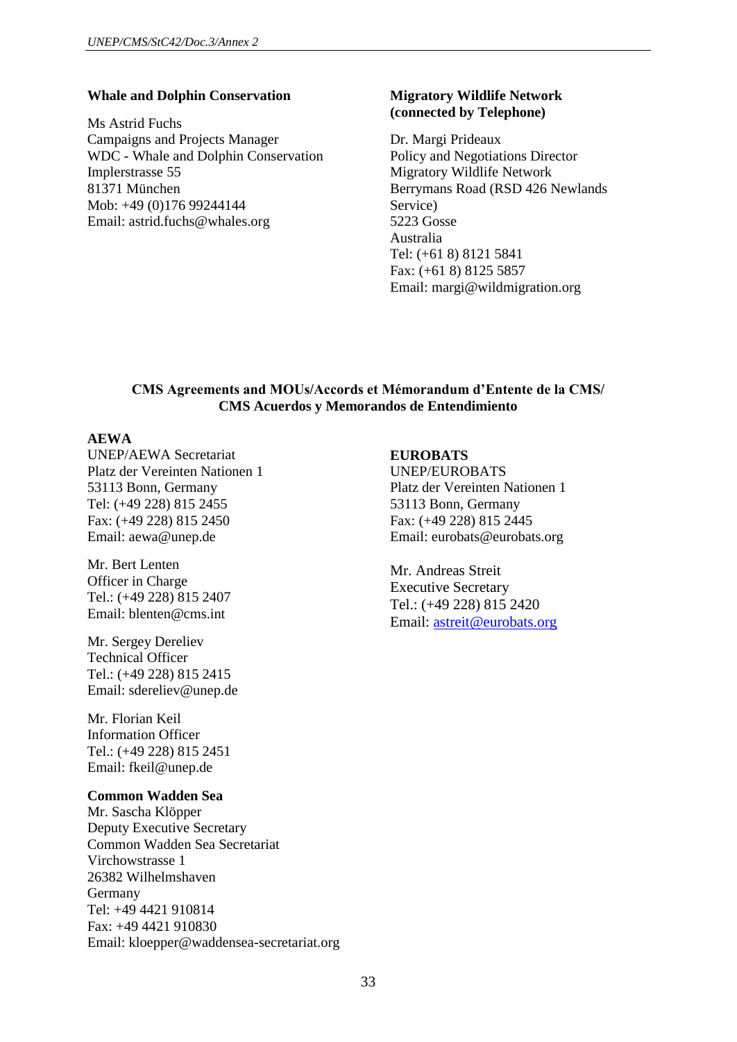#### **Whale and Dolphin Conservation**

Ms Astrid Fuchs Campaigns and Projects Manager WDC - Whale and Dolphin Conservation Implerstrasse 55 81371 München Mob: +49 (0)176 99244144 Email: astrid.fuchs@whales.org

#### **Migratory Wildlife Network (connected by Telephone)**

Dr. Margi Prideaux Policy and Negotiations Director Migratory Wildlife Network Berrymans Road (RSD 426 Newlands Service) 5223 Gosse Australia Tel: (+61 8) 8121 5841 Fax: (+61 8) 8125 5857 Email: margi@wildmigration.org

### **CMS Agreements and MOUs/Accords et Mémorandum d'Entente de la CMS/ CMS Acuerdos y Memorandos de Entendimiento**

### **AEWA**

UNEP/AEWA Secretariat Platz der Vereinten Nationen 1 53113 Bonn, Germany Tel: (+49 228) 815 2455 Fax: (+49 228) 815 2450 Email: [aewa@unep.de](mailto:aewa@unep.de)

Mr. Bert Lenten Officer in Charge Tel.: (+49 228) 815 2407 Email: [blenten@cms.int](mailto:blenten@cms.int)

Mr. Sergey Dereliev Technical Officer Tel.: (+49 228) 815 2415 Email: [sdereliev@unep.de](mailto:sdereliev@unep.de)

Mr. Florian Keil Information Officer Tel.: (+49 228) 815 2451 Email: [fkeil@unep.de](mailto:fkeil@unep.de)

#### **Common Wadden Sea**

Mr. Sascha Klöpper Deputy Executive Secretary Common Wadden Sea Secretariat Virchowstrasse 1 26382 Wilhelmshaven Germany Tel: +49 4421 910814 Fax: +49 4421 910830 Email: [kloepper@waddensea-secretariat.org](mailto:kloepper@waddensea-secretariat.org)

#### **EUROBATS**

UNEP/EUROBATS Platz der Vereinten Nationen 1 53113 Bonn, Germany Fax: (+49 228) 815 2445 Email: eurobats@eurobats.org

Mr. Andreas Streit Executive Secretary Tel.: (+49 228) 815 2420 Email: [astreit@eurobats.org](mailto:astreit@eurobats.org)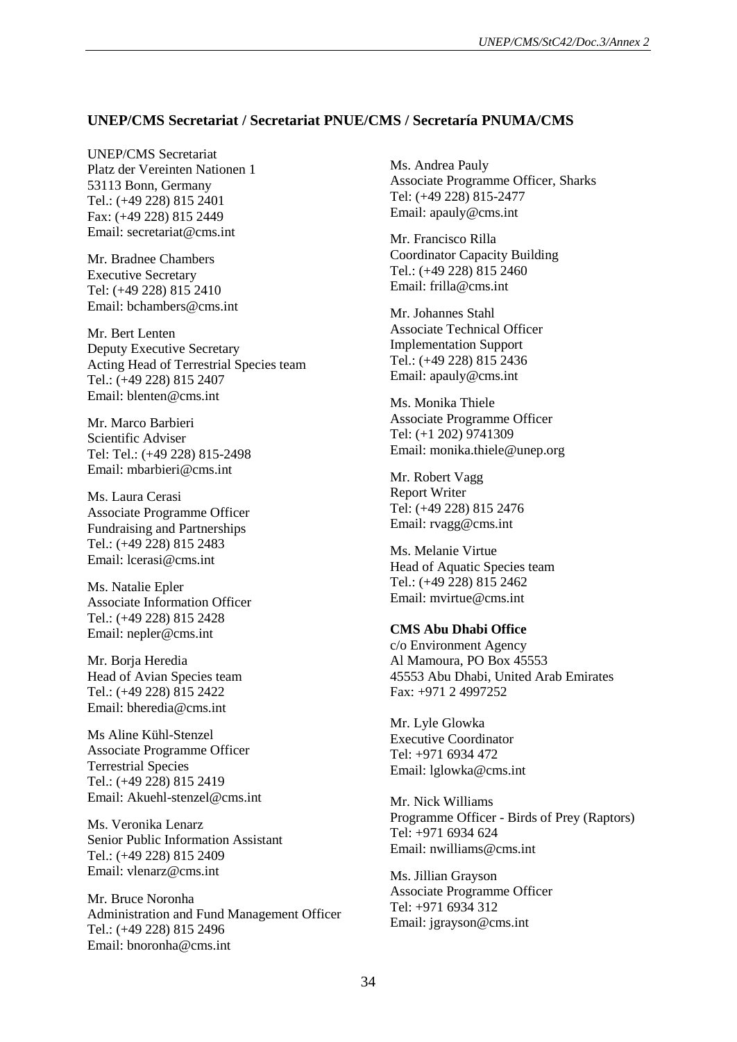#### **UNEP/CMS Secretariat / Secretariat PNUE/CMS / Secretaría PNUMA/CMS**

UNEP/CMS Secretariat Platz der Vereinten Nationen 1 53113 Bonn, Germany Tel.: (+49 228) 815 2401 Fax: (+49 228) 815 2449 Email: secretariat@cms.int

Mr. Bradnee Chambers Executive Secretary Tel: (+49 228) 815 2410 Email: bchambers@cms.int

Mr. Bert Lenten Deputy Executive Secretary Acting Head of Terrestrial Species team Tel.: (+49 228) 815 2407 Email: blenten@cms.int

Mr. Marco Barbieri Scientific Adviser Tel: Tel.: (+49 228) 815-2498 Email: [mbarbieri@cms.int](mailto:mbarbieri@cms.int)

Ms. Laura Cerasi Associate Programme Officer Fundraising and Partnerships Tel.: (+49 228) 815 2483 Email: lcerasi@cms.int

Ms. Natalie Epler Associate Information Officer Tel.: (+49 228) 815 2428 Email: nepler@cms.int

Mr. Borja Heredia Head of Avian Species team Tel.: (+49 228) 815 2422 Email: bheredia@cms.int

Ms Aline Kühl-Stenzel Associate Programme Officer Terrestrial Species Tel.: (+49 228) 815 2419 Email: Akuehl-stenzel@cms.int

Ms. Veronika Lenarz Senior Public Information Assistant Tel.: (+49 228) 815 2409 Email: vlenarz@cms.int

Mr. Bruce Noronha Administration and Fund Management Officer Tel.: (+49 228) 815 2496 Email: bnoronha@cms.int

Ms. Andrea Pauly Associate Programme Officer, Sharks Tel: (+49 228) 815-2477 Email: apauly@cms.int

Mr. Francisco Rilla Coordinator Capacity Building Tel.: (+49 228) 815 2460 Email: frilla@cms.int

Mr. Johannes Stahl Associate Technical Officer Implementation Support Tel.: (+49 228) 815 2436 Email: apauly@cms.int

Ms. Monika Thiele Associate Programme Officer Tel: (+1 202) 9741309 Email: [monika.thiele@unep.org](mailto:monika.thiele@unep.org)

Mr. Robert Vagg Report Writer Tel: (+49 228) 815 2476 Email: rvagg@cms.int

Ms. Melanie Virtue Head of Aquatic Species team Tel.: (+49 228) 815 2462 Email: mvirtue@cms.int

#### **CMS Abu Dhabi Office**

c/o Environment Agency Al Mamoura, PO Box 45553 45553 Abu Dhabi, United Arab Emirates Fax: +971 2 4997252

Mr. Lyle Glowka Executive Coordinator Tel:  $+971$  6934 472 Email: lglowka@cms.int

Mr. Nick Williams Programme Officer - Birds of Prey (Raptors) Tel: +971 6934 624 Email: nwilliams@cms.int

Ms. Jillian Grayson Associate Programme Officer Tel: +971 6934 312 Email: [jgrayson@cms.int](mailto:jgrayson@cms.int)